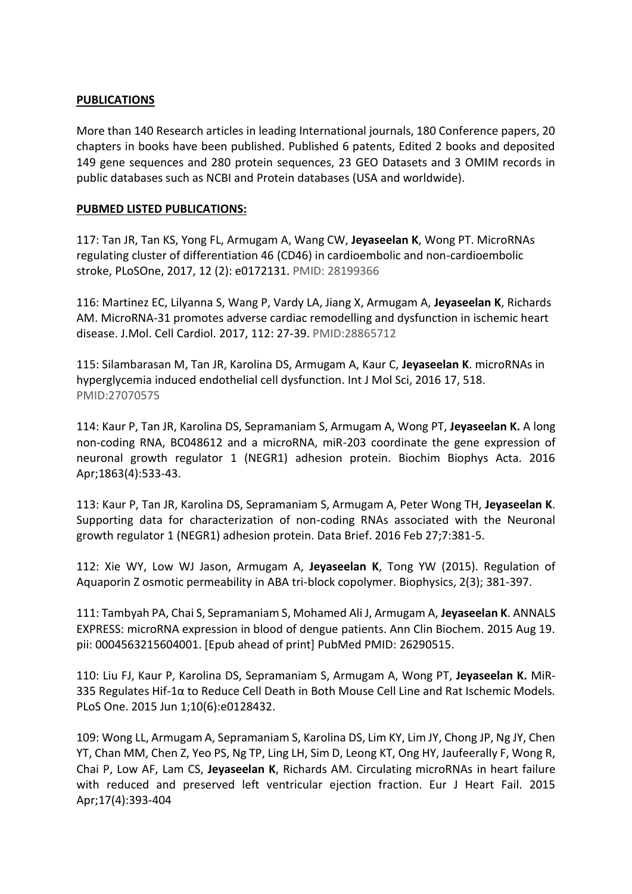## **PUBLICATIONS**

More than 140 Research articles in leading International journals, 180 Conference papers, 20 chapters in books have been published. Published 6 patents, Edited 2 books and deposited 149 gene sequences and 280 protein sequences, 23 GEO Datasets and 3 OMIM records in public databases such as NCBI and Protein databases (USA and worldwide).

# **PUBMED LISTED PUBLICATIONS:**

117: Tan JR, Tan KS, Yong FL, Armugam A, Wang CW, **Jeyaseelan K**, Wong PT. MicroRNAs regulating cluster of differentiation 46 (CD46) in cardioembolic and non-cardioembolic stroke, PLoSOne, 2017, 12 (2): e0172131. PMID: 28199366

116: Martinez EC, Lilyanna S, Wang P, Vardy LA, Jiang X, Armugam A, **Jeyaseelan K**, Richards AM. MicroRNA-31 promotes adverse cardiac remodelling and dysfunction in ischemic heart disease. J.Mol. Cell Cardiol. 2017, 112: 27-39. PMID:28865712

115: Silambarasan M, Tan JR, Karolina DS, Armugam A, Kaur C, **Jeyaseelan K**. microRNAs in hyperglycemia induced endothelial cell dysfunction. Int J Mol Sci, 2016 17, 518. PMID:27070575

114: Kaur P, Tan JR, Karolina DS, Sepramaniam S, Armugam A, Wong PT, **Jeyaseelan K.** A long non-coding RNA, BC048612 and a microRNA, miR-203 coordinate the gene expression of neuronal growth regulator 1 (NEGR1) adhesion protein. Biochim Biophys Acta. 2016 Apr;1863(4):533-43.

113: Kaur P, Tan JR, Karolina DS, Sepramaniam S, Armugam A, Peter Wong TH, **Jeyaseelan K**. Supporting data for characterization of non-coding RNAs associated with the Neuronal growth regulator 1 (NEGR1) adhesion protein. Data Brief. 2016 Feb 27;7:381-5.

112: Xie WY, Low WJ Jason, Armugam A, **Jeyaseelan K**, Tong YW (2015). Regulation of Aquaporin Z osmotic permeability in ABA tri-block copolymer. Biophysics, 2(3); 381-397.

111: Tambyah PA, Chai S, Sepramaniam S, Mohamed Ali J, Armugam A, **Jeyaseelan K**. ANNALS EXPRESS: microRNA expression in blood of dengue patients. Ann Clin Biochem. 2015 Aug 19. pii: 0004563215604001. [Epub ahead of print] PubMed PMID: 26290515.

110: Liu FJ, Kaur P, Karolina DS, Sepramaniam S, Armugam A, Wong PT, **Jeyaseelan K.** MiR-335 Regulates Hif-1α to Reduce Cell Death in Both Mouse Cell Line and Rat Ischemic Models. PLoS One. 2015 Jun 1;10(6):e0128432.

109: Wong LL, Armugam A, Sepramaniam S, Karolina DS, Lim KY, Lim JY, Chong JP, Ng JY, Chen YT, Chan MM, Chen Z, Yeo PS, Ng TP, Ling LH, Sim D, Leong KT, Ong HY, Jaufeerally F, Wong R, Chai P, Low AF, Lam CS, **Jeyaseelan K**, Richards AM. Circulating microRNAs in heart failure with reduced and preserved left ventricular ejection fraction. Eur J Heart Fail. 2015 Apr;17(4):393-404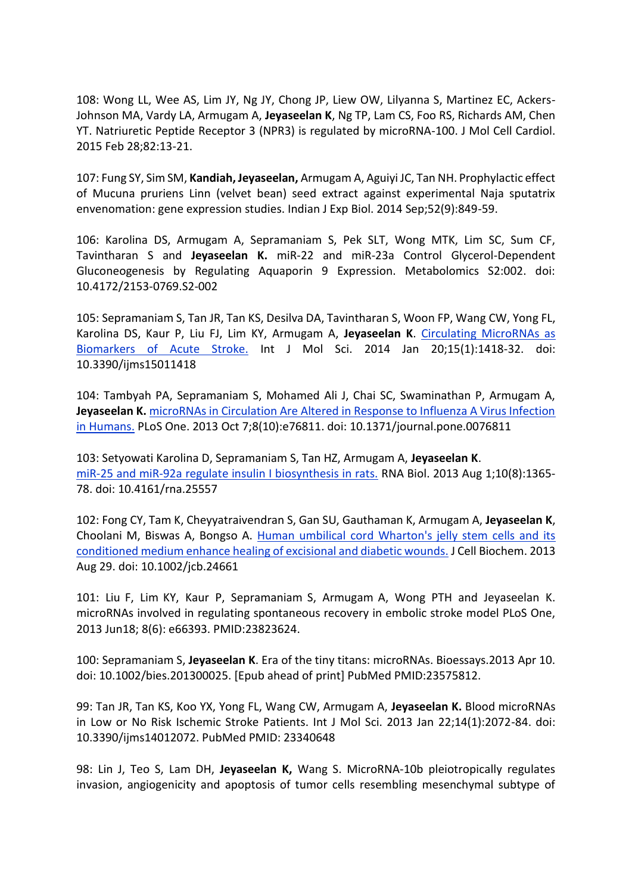108: Wong LL, Wee AS, Lim JY, Ng JY, Chong JP, Liew OW, Lilyanna S, Martinez EC, Ackers-Johnson MA, Vardy LA, Armugam A, **Jeyaseelan K**, Ng TP, Lam CS, Foo RS, Richards AM, Chen YT. Natriuretic Peptide Receptor 3 (NPR3) is regulated by microRNA-100. J Mol Cell Cardiol. 2015 Feb 28;82:13-21.

107: Fung SY, Sim SM, **Kandiah, Jeyaseelan,** Armugam A, Aguiyi JC, Tan NH. Prophylactic effect of Mucuna pruriens Linn (velvet bean) seed extract against experimental Naja sputatrix envenomation: gene expression studies. Indian J Exp Biol. 2014 Sep;52(9):849-59.

106: Karolina DS, Armugam A, Sepramaniam S, Pek SLT, Wong MTK, Lim SC, Sum CF, Tavintharan S and **Jeyaseelan K.** miR-22 and miR-23a Control Glycerol-Dependent Gluconeogenesis by Regulating Aquaporin 9 Expression. Metabolomics S2:002. doi: 10.4172/2153-0769.S2-002

105: Sepramaniam S, Tan JR, Tan KS, Desilva DA, Tavintharan S, Woon FP, Wang CW, Yong FL, Karolina DS, Kaur P, Liu FJ, Lim KY, Armugam A, **Jeyaseelan K**. [Circulating MicroRNAs as](http://www.ncbi.nlm.nih.gov/pubmed/24447930)  [Biomarkers of Acute Stroke.](http://www.ncbi.nlm.nih.gov/pubmed/24447930) Int J Mol Sci. 2014 Jan 20;15(1):1418-32. doi: 10.3390/ijms15011418

104: Tambyah PA, Sepramaniam S, Mohamed Ali J, Chai SC, Swaminathan P, Armugam A, **Jeyaseelan K.** [microRNAs in Circulation Are Altered in Response to Influenza A Virus Infection](http://www.ncbi.nlm.nih.gov/pubmed/24116168)  [in Humans.](http://www.ncbi.nlm.nih.gov/pubmed/24116168) PLoS One. 2013 Oct 7;8(10):e76811. doi: 10.1371/journal.pone.0076811

103: Setyowati Karolina D, Sepramaniam S, Tan HZ, Armugam A, **Jeyaseelan K**. [miR-25 and miR-92a regulate insulin I biosynthesis in rats.](http://www.ncbi.nlm.nih.gov/pubmed/24084692) RNA Biol. 2013 Aug 1;10(8):1365- 78. doi: 10.4161/rna.25557

102: Fong CY, Tam K, Cheyyatraivendran S, Gan SU, Gauthaman K, Armugam A, **Jeyaseelan K**, Choolani M, Biswas A, Bongso A. [Human umbilical cord Wharton's jelly stem cells and its](http://www.ncbi.nlm.nih.gov/pubmed/24038311)  [conditioned medium enhance healing of excisional and diabetic wounds.](http://www.ncbi.nlm.nih.gov/pubmed/24038311) J Cell Biochem. 2013 Aug 29. doi: 10.1002/jcb.24661

101: Liu F, Lim KY, Kaur P, Sepramaniam S, Armugam A, Wong PTH and Jeyaseelan K. microRNAs involved in regulating spontaneous recovery in embolic stroke model PLoS One, 2013 Jun18; 8(6): e66393. PMID:23823624.

100: Sepramaniam S, **Jeyaseelan K**. Era of the tiny titans: microRNAs. Bioessays.2013 Apr 10. doi: 10.1002/bies.201300025. [Epub ahead of print] PubMed PMID:23575812.

99: Tan JR, Tan KS, Koo YX, Yong FL, Wang CW, Armugam A, **Jeyaseelan K.** Blood microRNAs in Low or No Risk Ischemic Stroke Patients. Int J Mol Sci. 2013 Jan 22;14(1):2072-84. doi: 10.3390/ijms14012072. PubMed PMID: 23340648

98: Lin J, Teo S, Lam DH, **Jeyaseelan K,** Wang S. MicroRNA-10b pleiotropically regulates invasion, angiogenicity and apoptosis of tumor cells resembling mesenchymal subtype of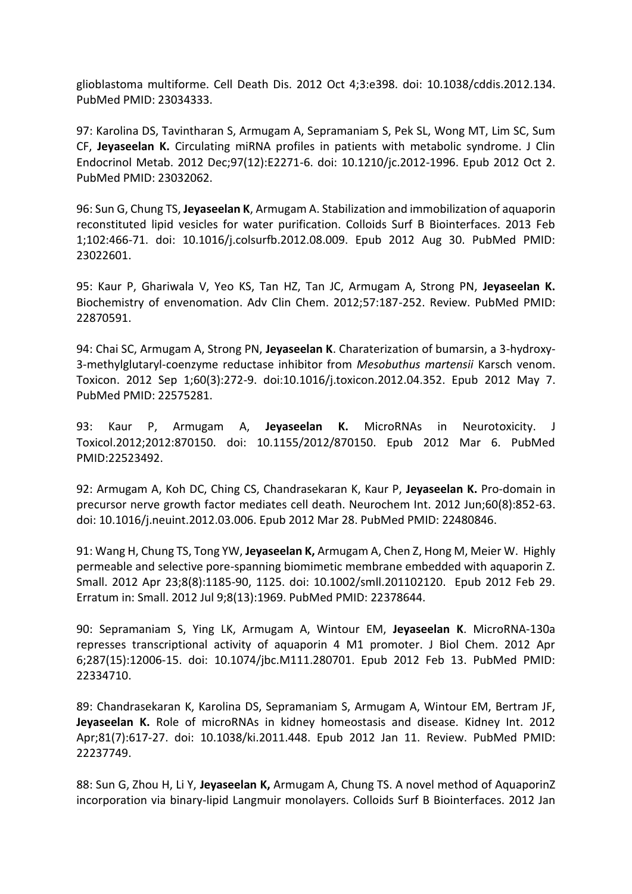glioblastoma multiforme. Cell Death Dis. 2012 Oct 4;3:e398. doi: 10.1038/cddis.2012.134. PubMed PMID: 23034333.

97: Karolina DS, Tavintharan S, Armugam A, Sepramaniam S, Pek SL, Wong MT, Lim SC, Sum CF, **Jeyaseelan K.** Circulating miRNA profiles in patients with metabolic syndrome. J Clin Endocrinol Metab. 2012 Dec;97(12):E2271-6. doi: 10.1210/jc.2012-1996. Epub 2012 Oct 2. PubMed PMID: 23032062.

96: Sun G, Chung TS, **Jeyaseelan K**, Armugam A. Stabilization and immobilization of aquaporin reconstituted lipid vesicles for water purification. Colloids Surf B Biointerfaces. 2013 Feb 1;102:466-71. doi: 10.1016/j.colsurfb.2012.08.009. Epub 2012 Aug 30. PubMed PMID: 23022601.

95: Kaur P, Ghariwala V, Yeo KS, Tan HZ, Tan JC, Armugam A, Strong PN, **Jeyaseelan K.** Biochemistry of envenomation. Adv Clin Chem. 2012;57:187-252. Review. PubMed PMID: 22870591.

94: Chai SC, Armugam A, Strong PN, **Jeyaseelan K**. Charaterization of bumarsin, a 3-hydroxy-3-methylglutaryl-coenzyme reductase inhibitor from *Mesobuthus martensii* Karsch venom. Toxicon. 2012 Sep 1;60(3):272-9. doi:10.1016/j.toxicon.2012.04.352. Epub 2012 May 7. PubMed PMID: 22575281.

93: Kaur P, Armugam A, **Jeyaseelan K.** MicroRNAs in Neurotoxicity. J Toxicol.2012;2012:870150. doi: 10.1155/2012/870150. Epub 2012 Mar 6. PubMed PMID:22523492.

92: Armugam A, Koh DC, Ching CS, Chandrasekaran K, Kaur P, **Jeyaseelan K.** Pro-domain in precursor nerve growth factor mediates cell death. Neurochem Int. 2012 Jun;60(8):852-63. doi: 10.1016/j.neuint.2012.03.006. Epub 2012 Mar 28. PubMed PMID: 22480846.

91: Wang H, Chung TS, Tong YW, **Jeyaseelan K,** Armugam A, Chen Z, Hong M, Meier W. Highly permeable and selective pore-spanning biomimetic membrane embedded with aquaporin Z. Small. 2012 Apr 23;8(8):1185-90, 1125. doi: 10.1002/smll.201102120. Epub 2012 Feb 29. Erratum in: Small. 2012 Jul 9;8(13):1969. PubMed PMID: 22378644.

90: Sepramaniam S, Ying LK, Armugam A, Wintour EM, **Jeyaseelan K**. MicroRNA-130a represses transcriptional activity of aquaporin 4 M1 promoter. J Biol Chem. 2012 Apr 6;287(15):12006-15. doi: 10.1074/jbc.M111.280701. Epub 2012 Feb 13. PubMed PMID: 22334710.

89: Chandrasekaran K, Karolina DS, Sepramaniam S, Armugam A, Wintour EM, Bertram JF, **Jeyaseelan K.** Role of microRNAs in kidney homeostasis and disease. Kidney Int. 2012 Apr;81(7):617-27. doi: 10.1038/ki.2011.448. Epub 2012 Jan 11. Review. PubMed PMID: 22237749.

88: Sun G, Zhou H, Li Y, **Jeyaseelan K,** Armugam A, Chung TS. A novel method of AquaporinZ incorporation via binary-lipid Langmuir monolayers. Colloids Surf B Biointerfaces. 2012 Jan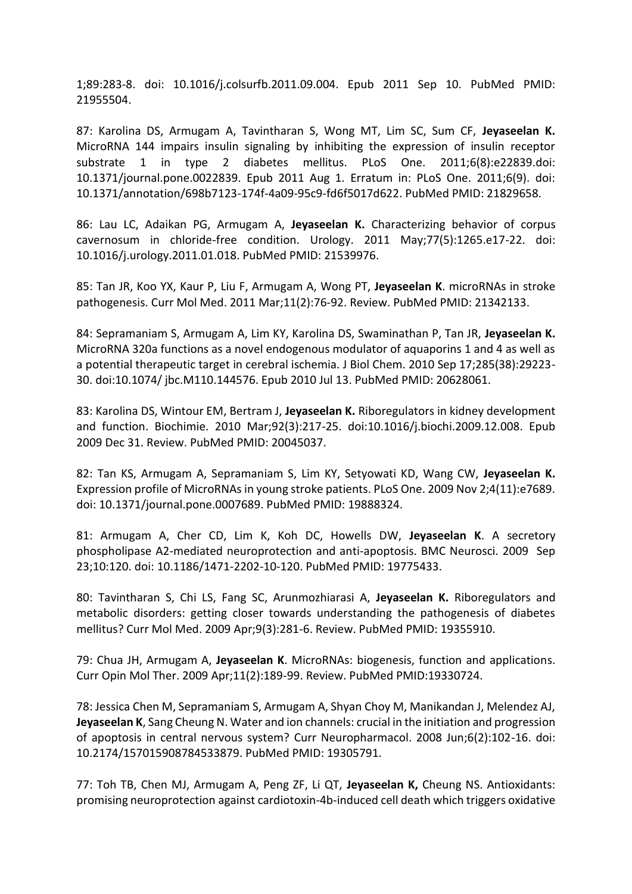1;89:283-8. doi: 10.1016/j.colsurfb.2011.09.004. Epub 2011 Sep 10. PubMed PMID: 21955504.

87: Karolina DS, Armugam A, Tavintharan S, Wong MT, Lim SC, Sum CF, **Jeyaseelan K.** MicroRNA 144 impairs insulin signaling by inhibiting the expression of insulin receptor substrate 1 in type 2 diabetes mellitus. PLoS One. 2011;6(8):e22839.doi: 10.1371/journal.pone.0022839. Epub 2011 Aug 1. Erratum in: PLoS One. 2011;6(9). doi: 10.1371/annotation/698b7123-174f-4a09-95c9-fd6f5017d622. PubMed PMID: 21829658.

86: Lau LC, Adaikan PG, Armugam A, **Jeyaseelan K.** Characterizing behavior of corpus cavernosum in chloride-free condition. Urology. 2011 May;77(5):1265.e17-22. doi: 10.1016/j.urology.2011.01.018. PubMed PMID: 21539976.

85: Tan JR, Koo YX, Kaur P, Liu F, Armugam A, Wong PT, **Jeyaseelan K**. microRNAs in stroke pathogenesis. Curr Mol Med. 2011 Mar;11(2):76-92. Review. PubMed PMID: 21342133.

84: Sepramaniam S, Armugam A, Lim KY, Karolina DS, Swaminathan P, Tan JR, **Jeyaseelan K.** MicroRNA 320a functions as a novel endogenous modulator of aquaporins 1 and 4 as well as a potential therapeutic target in cerebral ischemia. J Biol Chem. 2010 Sep 17;285(38):29223- 30. doi:10.1074/ jbc.M110.144576. Epub 2010 Jul 13. PubMed PMID: 20628061.

83: Karolina DS, Wintour EM, Bertram J, **Jeyaseelan K.** Riboregulators in kidney development and function. Biochimie. 2010 Mar;92(3):217-25. doi:10.1016/j.biochi.2009.12.008. Epub 2009 Dec 31. Review. PubMed PMID: 20045037.

82: Tan KS, Armugam A, Sepramaniam S, Lim KY, Setyowati KD, Wang CW, **Jeyaseelan K.** Expression profile of MicroRNAs in young stroke patients. PLoS One. 2009 Nov 2;4(11):e7689. doi: 10.1371/journal.pone.0007689. PubMed PMID: 19888324.

81: Armugam A, Cher CD, Lim K, Koh DC, Howells DW, **Jeyaseelan K**. A secretory phospholipase A2-mediated neuroprotection and anti-apoptosis. BMC Neurosci. 2009 Sep 23;10:120. doi: 10.1186/1471-2202-10-120. PubMed PMID: 19775433.

80: Tavintharan S, Chi LS, Fang SC, Arunmozhiarasi A, **Jeyaseelan K.** Riboregulators and metabolic disorders: getting closer towards understanding the pathogenesis of diabetes mellitus? Curr Mol Med. 2009 Apr;9(3):281-6. Review. PubMed PMID: 19355910.

79: Chua JH, Armugam A, **Jeyaseelan K**. MicroRNAs: biogenesis, function and applications. Curr Opin Mol Ther. 2009 Apr;11(2):189-99. Review. PubMed PMID:19330724.

78: Jessica Chen M, Sepramaniam S, Armugam A, Shyan Choy M, Manikandan J, Melendez AJ, **Jeyaseelan K**, Sang Cheung N. Water and ion channels: crucial in the initiation and progression of apoptosis in central nervous system? Curr Neuropharmacol. 2008 Jun;6(2):102-16. doi: 10.2174/157015908784533879. PubMed PMID: 19305791.

77: Toh TB, Chen MJ, Armugam A, Peng ZF, Li QT, **Jeyaseelan K,** Cheung NS. Antioxidants: promising neuroprotection against cardiotoxin-4b-induced cell death which triggers oxidative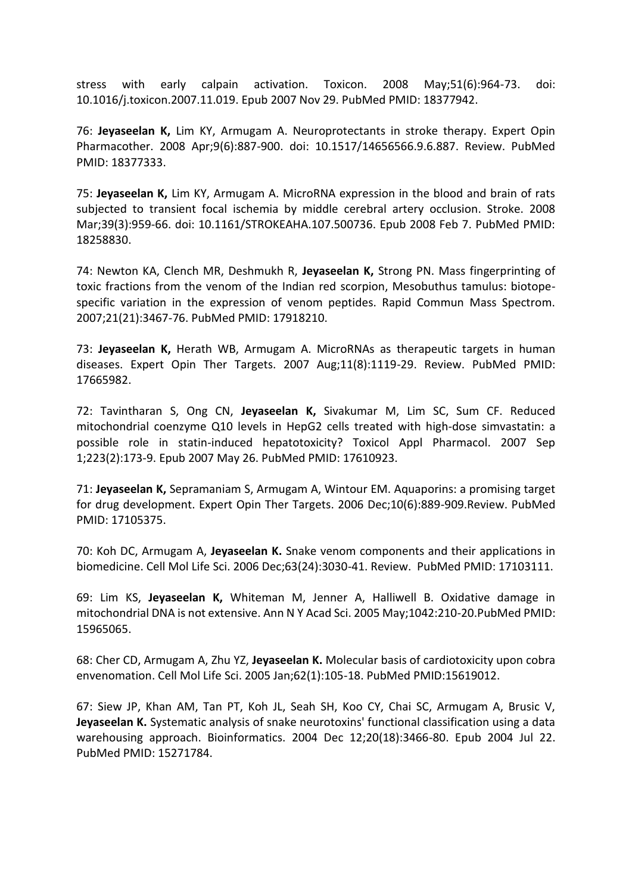stress with early calpain activation. Toxicon. 2008 May;51(6):964-73. doi: 10.1016/j.toxicon.2007.11.019. Epub 2007 Nov 29. PubMed PMID: 18377942.

76: **Jeyaseelan K,** Lim KY, Armugam A. Neuroprotectants in stroke therapy. Expert Opin Pharmacother. 2008 Apr;9(6):887-900. doi: 10.1517/14656566.9.6.887. Review. PubMed PMID: 18377333.

75: **Jeyaseelan K,** Lim KY, Armugam A. MicroRNA expression in the blood and brain of rats subjected to transient focal ischemia by middle cerebral artery occlusion. Stroke. 2008 Mar;39(3):959-66. doi: 10.1161/STROKEAHA.107.500736. Epub 2008 Feb 7. PubMed PMID: 18258830.

74: Newton KA, Clench MR, Deshmukh R, **Jeyaseelan K,** Strong PN. Mass fingerprinting of toxic fractions from the venom of the Indian red scorpion, Mesobuthus tamulus: biotopespecific variation in the expression of venom peptides. Rapid Commun Mass Spectrom. 2007;21(21):3467-76. PubMed PMID: 17918210.

73: **Jeyaseelan K,** Herath WB, Armugam A. MicroRNAs as therapeutic targets in human diseases. Expert Opin Ther Targets. 2007 Aug;11(8):1119-29. Review. PubMed PMID: 17665982.

72: Tavintharan S, Ong CN, **Jeyaseelan K,** Sivakumar M, Lim SC, Sum CF. Reduced mitochondrial coenzyme Q10 levels in HepG2 cells treated with high-dose simvastatin: a possible role in statin-induced hepatotoxicity? Toxicol Appl Pharmacol. 2007 Sep 1;223(2):173-9. Epub 2007 May 26. PubMed PMID: 17610923.

71: **Jeyaseelan K,** Sepramaniam S, Armugam A, Wintour EM. Aquaporins: a promising target for drug development. Expert Opin Ther Targets. 2006 Dec;10(6):889-909.Review. PubMed PMID: 17105375.

70: Koh DC, Armugam A, **Jeyaseelan K.** Snake venom components and their applications in biomedicine. Cell Mol Life Sci. 2006 Dec;63(24):3030-41. Review. PubMed PMID: 17103111.

69: Lim KS, **Jeyaseelan K,** Whiteman M, Jenner A, Halliwell B. Oxidative damage in mitochondrial DNA is not extensive. Ann N Y Acad Sci. 2005 May;1042:210-20.PubMed PMID: 15965065.

68: Cher CD, Armugam A, Zhu YZ, **Jeyaseelan K.** Molecular basis of cardiotoxicity upon cobra envenomation. Cell Mol Life Sci. 2005 Jan;62(1):105-18. PubMed PMID:15619012.

67: Siew JP, Khan AM, Tan PT, Koh JL, Seah SH, Koo CY, Chai SC, Armugam A, Brusic V, **Jeyaseelan K.** Systematic analysis of snake neurotoxins' functional classification using a data warehousing approach. Bioinformatics. 2004 Dec 12;20(18):3466-80. Epub 2004 Jul 22. PubMed PMID: 15271784.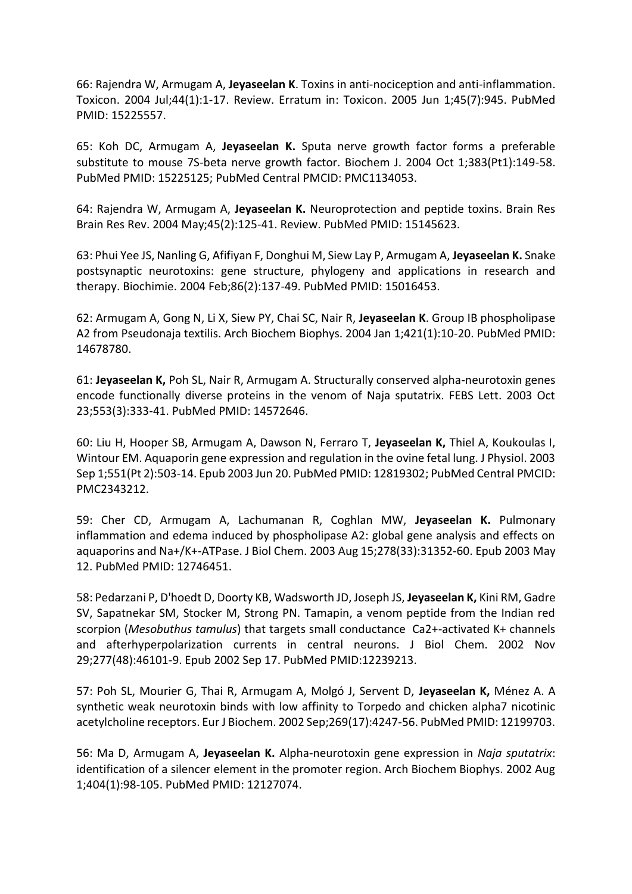66: Rajendra W, Armugam A, **Jeyaseelan K**. Toxins in anti-nociception and anti-inflammation. Toxicon. 2004 Jul;44(1):1-17. Review. Erratum in: Toxicon. 2005 Jun 1;45(7):945. PubMed PMID: 15225557.

65: Koh DC, Armugam A, **Jeyaseelan K.** Sputa nerve growth factor forms a preferable substitute to mouse 7S-beta nerve growth factor. Biochem J. 2004 Oct 1;383(Pt1):149-58. PubMed PMID: 15225125; PubMed Central PMCID: PMC1134053.

64: Rajendra W, Armugam A, **Jeyaseelan K.** Neuroprotection and peptide toxins. Brain Res Brain Res Rev. 2004 May;45(2):125-41. Review. PubMed PMID: 15145623.

63: Phui Yee JS, Nanling G, Afifiyan F, Donghui M, Siew Lay P, Armugam A, **Jeyaseelan K.** Snake postsynaptic neurotoxins: gene structure, phylogeny and applications in research and therapy. Biochimie. 2004 Feb;86(2):137-49. PubMed PMID: 15016453.

62: Armugam A, Gong N, Li X, Siew PY, Chai SC, Nair R, **Jeyaseelan K**. Group IB phospholipase A2 from Pseudonaja textilis. Arch Biochem Biophys. 2004 Jan 1;421(1):10-20. PubMed PMID: 14678780.

61: **Jeyaseelan K,** Poh SL, Nair R, Armugam A. Structurally conserved alpha-neurotoxin genes encode functionally diverse proteins in the venom of Naja sputatrix. FEBS Lett. 2003 Oct 23;553(3):333-41. PubMed PMID: 14572646.

60: Liu H, Hooper SB, Armugam A, Dawson N, Ferraro T, **Jeyaseelan K,** Thiel A, Koukoulas I, Wintour EM. Aquaporin gene expression and regulation in the ovine fetal lung. J Physiol. 2003 Sep 1;551(Pt 2):503-14. Epub 2003 Jun 20. PubMed PMID: 12819302; PubMed Central PMCID: PMC2343212.

59: Cher CD, Armugam A, Lachumanan R, Coghlan MW, **Jeyaseelan K.** Pulmonary inflammation and edema induced by phospholipase A2: global gene analysis and effects on aquaporins and Na+/K+-ATPase. J Biol Chem. 2003 Aug 15;278(33):31352-60. Epub 2003 May 12. PubMed PMID: 12746451.

58: Pedarzani P, D'hoedt D, Doorty KB, Wadsworth JD, Joseph JS, **Jeyaseelan K,** Kini RM, Gadre SV, Sapatnekar SM, Stocker M, Strong PN. Tamapin, a venom peptide from the Indian red scorpion (*Mesobuthus tamulus*) that targets small conductance Ca2+-activated K+ channels and afterhyperpolarization currents in central neurons. J Biol Chem. 2002 Nov 29;277(48):46101-9. Epub 2002 Sep 17. PubMed PMID:12239213.

57: Poh SL, Mourier G, Thai R, Armugam A, Molgó J, Servent D, **Jeyaseelan K,** Ménez A. A synthetic weak neurotoxin binds with low affinity to Torpedo and chicken alpha7 nicotinic acetylcholine receptors. Eur J Biochem. 2002 Sep;269(17):4247-56. PubMed PMID: 12199703.

56: Ma D, Armugam A, **Jeyaseelan K.** Alpha-neurotoxin gene expression in *Naja sputatrix*: identification of a silencer element in the promoter region. Arch Biochem Biophys. 2002 Aug 1;404(1):98-105. PubMed PMID: 12127074.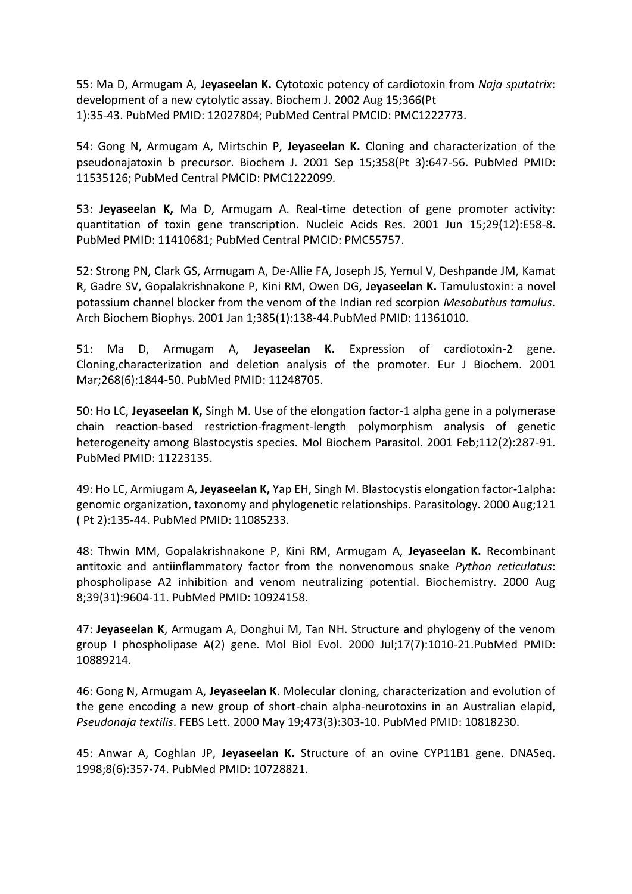55: Ma D, Armugam A, **Jeyaseelan K.** Cytotoxic potency of cardiotoxin from *Naja sputatrix*: development of a new cytolytic assay. Biochem J. 2002 Aug 15;366(Pt 1):35-43. PubMed PMID: 12027804; PubMed Central PMCID: PMC1222773.

54: Gong N, Armugam A, Mirtschin P, **Jeyaseelan K.** Cloning and characterization of the pseudonajatoxin b precursor. Biochem J. 2001 Sep 15;358(Pt 3):647-56. PubMed PMID: 11535126; PubMed Central PMCID: PMC1222099.

53: **Jeyaseelan K,** Ma D, Armugam A. Real-time detection of gene promoter activity: quantitation of toxin gene transcription. Nucleic Acids Res. 2001 Jun 15;29(12):E58-8. PubMed PMID: 11410681; PubMed Central PMCID: PMC55757.

52: Strong PN, Clark GS, Armugam A, De-Allie FA, Joseph JS, Yemul V, Deshpande JM, Kamat R, Gadre SV, Gopalakrishnakone P, Kini RM, Owen DG, **Jeyaseelan K.** Tamulustoxin: a novel potassium channel blocker from the venom of the Indian red scorpion *Mesobuthus tamulus*. Arch Biochem Biophys. 2001 Jan 1;385(1):138-44.PubMed PMID: 11361010.

51: Ma D, Armugam A, **Jeyaseelan K.** Expression of cardiotoxin-2 gene. Cloning,characterization and deletion analysis of the promoter. Eur J Biochem. 2001 Mar;268(6):1844-50. PubMed PMID: 11248705.

50: Ho LC, **Jeyaseelan K,** Singh M. Use of the elongation factor-1 alpha gene in a polymerase chain reaction-based restriction-fragment-length polymorphism analysis of genetic heterogeneity among Blastocystis species. Mol Biochem Parasitol. 2001 Feb;112(2):287-91. PubMed PMID: 11223135.

49: Ho LC, Armiugam A, **Jeyaseelan K,** Yap EH, Singh M. Blastocystis elongation factor-1alpha: genomic organization, taxonomy and phylogenetic relationships. Parasitology. 2000 Aug;121 ( Pt 2):135-44. PubMed PMID: 11085233.

48: Thwin MM, Gopalakrishnakone P, Kini RM, Armugam A, **Jeyaseelan K.** Recombinant antitoxic and antiinflammatory factor from the nonvenomous snake *Python reticulatus*: phospholipase A2 inhibition and venom neutralizing potential. Biochemistry. 2000 Aug 8;39(31):9604-11. PubMed PMID: 10924158.

47: **Jeyaseelan K**, Armugam A, Donghui M, Tan NH. Structure and phylogeny of the venom group I phospholipase A(2) gene. Mol Biol Evol. 2000 Jul;17(7):1010-21.PubMed PMID: 10889214.

46: Gong N, Armugam A, **Jeyaseelan K**. Molecular cloning, characterization and evolution of the gene encoding a new group of short-chain alpha-neurotoxins in an Australian elapid, *Pseudonaja textilis*. FEBS Lett. 2000 May 19;473(3):303-10. PubMed PMID: 10818230.

45: Anwar A, Coghlan JP, **Jeyaseelan K.** Structure of an ovine CYP11B1 gene. DNASeq. 1998;8(6):357-74. PubMed PMID: 10728821.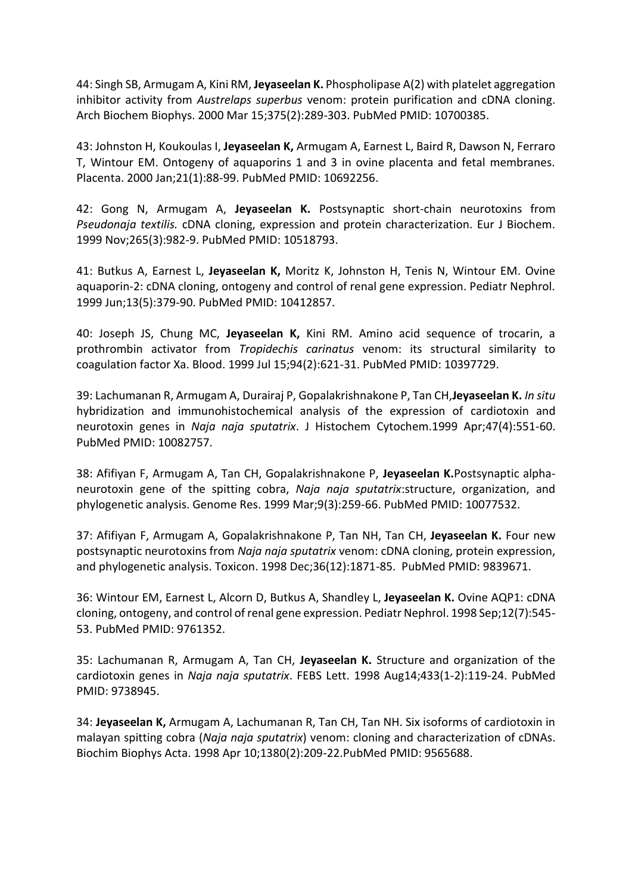44: Singh SB, Armugam A, Kini RM, **Jeyaseelan K.** Phospholipase A(2) with platelet aggregation inhibitor activity from *Austrelaps superbus* venom: protein purification and cDNA cloning. Arch Biochem Biophys. 2000 Mar 15;375(2):289-303. PubMed PMID: 10700385.

43: Johnston H, Koukoulas I, **Jeyaseelan K,** Armugam A, Earnest L, Baird R, Dawson N, Ferraro T, Wintour EM. Ontogeny of aquaporins 1 and 3 in ovine placenta and fetal membranes. Placenta. 2000 Jan;21(1):88-99. PubMed PMID: 10692256.

42: Gong N, Armugam A, **Jeyaseelan K.** Postsynaptic short-chain neurotoxins from *Pseudonaja textilis.* cDNA cloning, expression and protein characterization. Eur J Biochem. 1999 Nov;265(3):982-9. PubMed PMID: 10518793.

41: Butkus A, Earnest L, **Jeyaseelan K,** Moritz K, Johnston H, Tenis N, Wintour EM. Ovine aquaporin-2: cDNA cloning, ontogeny and control of renal gene expression. Pediatr Nephrol. 1999 Jun;13(5):379-90. PubMed PMID: 10412857.

40: Joseph JS, Chung MC, **Jeyaseelan K,** Kini RM. Amino acid sequence of trocarin, a prothrombin activator from *Tropidechis carinatus* venom: its structural similarity to coagulation factor Xa. Blood. 1999 Jul 15;94(2):621-31. PubMed PMID: 10397729.

39: Lachumanan R, Armugam A, Durairaj P, Gopalakrishnakone P, Tan CH,**Jeyaseelan K.** *In situ* hybridization and immunohistochemical analysis of the expression of cardiotoxin and neurotoxin genes in *Naja naja sputatrix*. J Histochem Cytochem.1999 Apr;47(4):551-60. PubMed PMID: 10082757.

38: Afifiyan F, Armugam A, Tan CH, Gopalakrishnakone P, **Jeyaseelan K.**Postsynaptic alphaneurotoxin gene of the spitting cobra, *Naja naja sputatrix*:structure, organization, and phylogenetic analysis. Genome Res. 1999 Mar;9(3):259-66. PubMed PMID: 10077532.

37: Afifiyan F, Armugam A, Gopalakrishnakone P, Tan NH, Tan CH, **Jeyaseelan K.** Four new postsynaptic neurotoxins from *Naja naja sputatrix* venom: cDNA cloning, protein expression, and phylogenetic analysis. Toxicon. 1998 Dec;36(12):1871-85. PubMed PMID: 9839671.

36: Wintour EM, Earnest L, Alcorn D, Butkus A, Shandley L, **Jeyaseelan K.** Ovine AQP1: cDNA cloning, ontogeny, and control of renal gene expression. Pediatr Nephrol. 1998 Sep;12(7):545- 53. PubMed PMID: 9761352.

35: Lachumanan R, Armugam A, Tan CH, **Jeyaseelan K.** Structure and organization of the cardiotoxin genes in *Naja naja sputatrix*. FEBS Lett. 1998 Aug14;433(1-2):119-24. PubMed PMID: 9738945.

34: **Jeyaseelan K,** Armugam A, Lachumanan R, Tan CH, Tan NH. Six isoforms of cardiotoxin in malayan spitting cobra (*Naja naja sputatrix*) venom: cloning and characterization of cDNAs. Biochim Biophys Acta. 1998 Apr 10;1380(2):209-22.PubMed PMID: 9565688.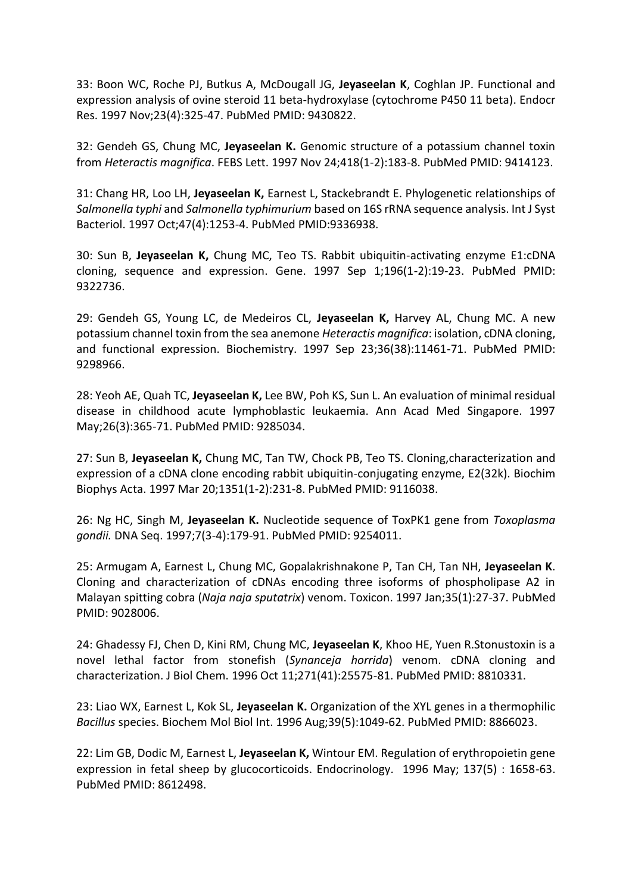33: Boon WC, Roche PJ, Butkus A, McDougall JG, **Jeyaseelan K**, Coghlan JP. Functional and expression analysis of ovine steroid 11 beta-hydroxylase (cytochrome P450 11 beta). Endocr Res. 1997 Nov;23(4):325-47. PubMed PMID: 9430822.

32: Gendeh GS, Chung MC, **Jeyaseelan K.** Genomic structure of a potassium channel toxin from *Heteractis magnifica*. FEBS Lett. 1997 Nov 24;418(1-2):183-8. PubMed PMID: 9414123.

31: Chang HR, Loo LH, **Jeyaseelan K,** Earnest L, Stackebrandt E. Phylogenetic relationships of *Salmonella typhi* and *Salmonella typhimurium* based on 16S rRNA sequence analysis. Int J Syst Bacteriol. 1997 Oct;47(4):1253-4. PubMed PMID:9336938.

30: Sun B, **Jeyaseelan K,** Chung MC, Teo TS. Rabbit ubiquitin-activating enzyme E1:cDNA cloning, sequence and expression. Gene. 1997 Sep 1;196(1-2):19-23. PubMed PMID: 9322736.

29: Gendeh GS, Young LC, de Medeiros CL, **Jeyaseelan K,** Harvey AL, Chung MC. A new potassium channel toxin from the sea anemone *Heteractis magnifica*: isolation, cDNA cloning, and functional expression. Biochemistry. 1997 Sep 23;36(38):11461-71. PubMed PMID: 9298966.

28: Yeoh AE, Quah TC, **Jeyaseelan K,** Lee BW, Poh KS, Sun L. An evaluation of minimal residual disease in childhood acute lymphoblastic leukaemia. Ann Acad Med Singapore. 1997 May;26(3):365-71. PubMed PMID: 9285034.

27: Sun B, **Jeyaseelan K,** Chung MC, Tan TW, Chock PB, Teo TS. Cloning,characterization and expression of a cDNA clone encoding rabbit ubiquitin-conjugating enzyme, E2(32k). Biochim Biophys Acta. 1997 Mar 20;1351(1-2):231-8. PubMed PMID: 9116038.

26: Ng HC, Singh M, **Jeyaseelan K.** Nucleotide sequence of ToxPK1 gene from *Toxoplasma gondii.* DNA Seq. 1997;7(3-4):179-91. PubMed PMID: 9254011.

25: Armugam A, Earnest L, Chung MC, Gopalakrishnakone P, Tan CH, Tan NH, **Jeyaseelan K**. Cloning and characterization of cDNAs encoding three isoforms of phospholipase A2 in Malayan spitting cobra (*Naja naja sputatrix*) venom. Toxicon. 1997 Jan;35(1):27-37. PubMed PMID: 9028006.

24: Ghadessy FJ, Chen D, Kini RM, Chung MC, **Jeyaseelan K**, Khoo HE, Yuen R.Stonustoxin is a novel lethal factor from stonefish (*Synanceja horrida*) venom. cDNA cloning and characterization. J Biol Chem. 1996 Oct 11;271(41):25575-81. PubMed PMID: 8810331.

23: Liao WX, Earnest L, Kok SL, **Jeyaseelan K.** Organization of the XYL genes in a thermophilic *Bacillus* species. Biochem Mol Biol Int. 1996 Aug;39(5):1049-62. PubMed PMID: 8866023.

22: Lim GB, Dodic M, Earnest L, **Jeyaseelan K,** Wintour EM. Regulation of erythropoietin gene expression in fetal sheep by glucocorticoids. Endocrinology. 1996 May; 137(5) : 1658-63. PubMed PMID: 8612498.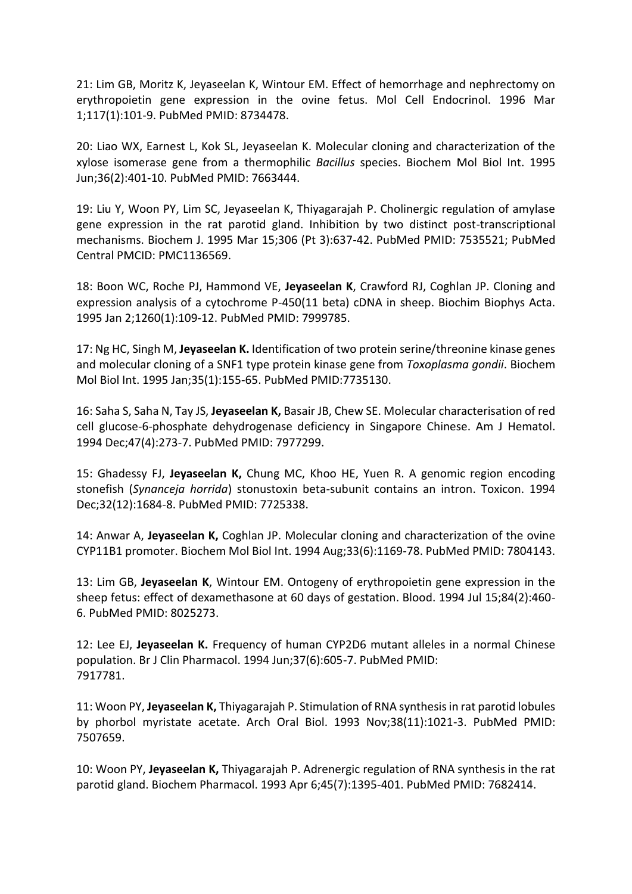21: Lim GB, Moritz K, Jeyaseelan K, Wintour EM. Effect of hemorrhage and nephrectomy on erythropoietin gene expression in the ovine fetus. Mol Cell Endocrinol. 1996 Mar 1;117(1):101-9. PubMed PMID: 8734478.

20: Liao WX, Earnest L, Kok SL, Jeyaseelan K. Molecular cloning and characterization of the xylose isomerase gene from a thermophilic *Bacillus* species. Biochem Mol Biol Int. 1995 Jun;36(2):401-10. PubMed PMID: 7663444.

19: Liu Y, Woon PY, Lim SC, Jeyaseelan K, Thiyagarajah P. Cholinergic regulation of amylase gene expression in the rat parotid gland. Inhibition by two distinct post-transcriptional mechanisms. Biochem J. 1995 Mar 15;306 (Pt 3):637-42. PubMed PMID: 7535521; PubMed Central PMCID: PMC1136569.

18: Boon WC, Roche PJ, Hammond VE, **Jeyaseelan K**, Crawford RJ, Coghlan JP. Cloning and expression analysis of a cytochrome P-450(11 beta) cDNA in sheep. Biochim Biophys Acta. 1995 Jan 2;1260(1):109-12. PubMed PMID: 7999785.

17: Ng HC, Singh M, **Jeyaseelan K.** Identification of two protein serine/threonine kinase genes and molecular cloning of a SNF1 type protein kinase gene from *Toxoplasma gondii*. Biochem Mol Biol Int. 1995 Jan;35(1):155-65. PubMed PMID:7735130.

16: Saha S, Saha N, Tay JS, **Jeyaseelan K,** Basair JB, Chew SE. Molecular characterisation of red cell glucose-6-phosphate dehydrogenase deficiency in Singapore Chinese. Am J Hematol. 1994 Dec;47(4):273-7. PubMed PMID: 7977299.

15: Ghadessy FJ, **Jeyaseelan K,** Chung MC, Khoo HE, Yuen R. A genomic region encoding stonefish (*Synanceja horrida*) stonustoxin beta-subunit contains an intron. Toxicon. 1994 Dec;32(12):1684-8. PubMed PMID: 7725338.

14: Anwar A, **Jeyaseelan K,** Coghlan JP. Molecular cloning and characterization of the ovine CYP11B1 promoter. Biochem Mol Biol Int. 1994 Aug;33(6):1169-78. PubMed PMID: 7804143.

13: Lim GB, **Jeyaseelan K**, Wintour EM. Ontogeny of erythropoietin gene expression in the sheep fetus: effect of dexamethasone at 60 days of gestation. Blood. 1994 Jul 15;84(2):460- 6. PubMed PMID: 8025273.

12: Lee EJ, **Jeyaseelan K.** Frequency of human CYP2D6 mutant alleles in a normal Chinese population. Br J Clin Pharmacol. 1994 Jun;37(6):605-7. PubMed PMID: 7917781.

11: Woon PY, **Jeyaseelan K,** Thiyagarajah P. Stimulation of RNA synthesis in rat parotid lobules by phorbol myristate acetate. Arch Oral Biol. 1993 Nov;38(11):1021-3. PubMed PMID: 7507659.

10: Woon PY, **Jeyaseelan K,** Thiyagarajah P. Adrenergic regulation of RNA synthesis in the rat parotid gland. Biochem Pharmacol. 1993 Apr 6;45(7):1395-401. PubMed PMID: 7682414.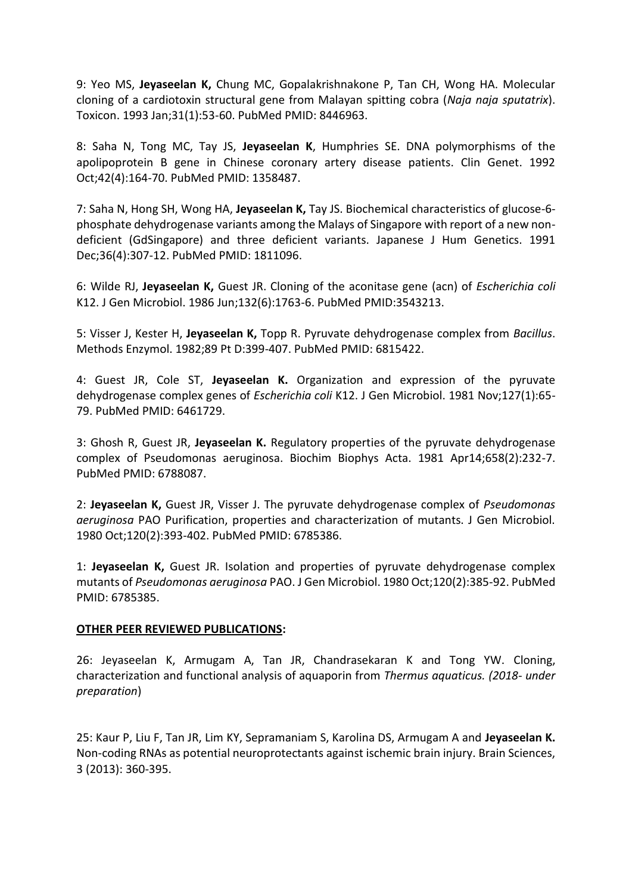9: Yeo MS, **Jeyaseelan K,** Chung MC, Gopalakrishnakone P, Tan CH, Wong HA. Molecular cloning of a cardiotoxin structural gene from Malayan spitting cobra (*Naja naja sputatrix*). Toxicon. 1993 Jan;31(1):53-60. PubMed PMID: 8446963.

8: Saha N, Tong MC, Tay JS, **Jeyaseelan K**, Humphries SE. DNA polymorphisms of the apolipoprotein B gene in Chinese coronary artery disease patients. Clin Genet. 1992 Oct;42(4):164-70. PubMed PMID: 1358487.

7: Saha N, Hong SH, Wong HA, **Jeyaseelan K,** Tay JS. Biochemical characteristics of glucose-6 phosphate dehydrogenase variants among the Malays of Singapore with report of a new nondeficient (GdSingapore) and three deficient variants. Japanese J Hum Genetics. 1991 Dec;36(4):307-12. PubMed PMID: 1811096.

6: Wilde RJ, **Jeyaseelan K,** Guest JR. Cloning of the aconitase gene (acn) of *Escherichia coli* K12. J Gen Microbiol. 1986 Jun;132(6):1763-6. PubMed PMID:3543213.

5: Visser J, Kester H, **Jeyaseelan K,** Topp R. Pyruvate dehydrogenase complex from *Bacillus*. Methods Enzymol. 1982;89 Pt D:399-407. PubMed PMID: 6815422.

4: Guest JR, Cole ST, **Jeyaseelan K.** Organization and expression of the pyruvate dehydrogenase complex genes of *Escherichia coli* K12. J Gen Microbiol. 1981 Nov;127(1):65- 79. PubMed PMID: 6461729.

3: Ghosh R, Guest JR, **Jeyaseelan K.** Regulatory properties of the pyruvate dehydrogenase complex of Pseudomonas aeruginosa. Biochim Biophys Acta. 1981 Apr14;658(2):232-7. PubMed PMID: 6788087.

2: **Jeyaseelan K,** Guest JR, Visser J. The pyruvate dehydrogenase complex of *Pseudomonas aeruginosa* PAO Purification, properties and characterization of mutants. J Gen Microbiol. 1980 Oct;120(2):393-402. PubMed PMID: 6785386.

1: **Jeyaseelan K,** Guest JR. Isolation and properties of pyruvate dehydrogenase complex mutants of *Pseudomonas aeruginosa* PAO. J Gen Microbiol. 1980 Oct;120(2):385-92. PubMed PMID: 6785385.

## **OTHER PEER REVIEWED PUBLICATIONS:**

26: Jeyaseelan K, Armugam A, Tan JR, Chandrasekaran K and Tong YW. Cloning, characterization and functional analysis of aquaporin from *Thermus aquaticus. (2018- under preparation*)

25: Kaur P, Liu F, Tan JR, Lim KY, Sepramaniam S, Karolina DS, Armugam A and **Jeyaseelan K.** Non-coding RNAs as potential neuroprotectants against ischemic brain injury. Brain Sciences, 3 (2013): 360-395.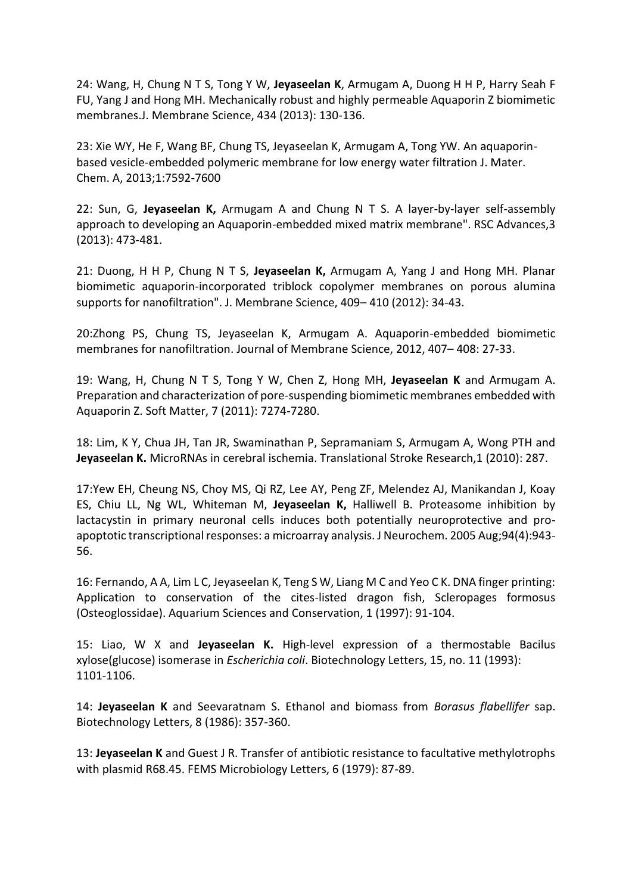24: Wang, H, Chung N T S, Tong Y W, **Jeyaseelan K**, Armugam A, Duong H H P, Harry Seah F FU, Yang J and Hong MH. Mechanically robust and highly permeable Aquaporin Z biomimetic membranes.J. Membrane Science, 434 (2013): 130-136.

23: Xie WY, He F, Wang BF, Chung TS, Jeyaseelan K, Armugam A, Tong YW. An aquaporinbased vesicle-embedded polymeric membrane for low energy water filtration J. Mater. Chem. A, 2013;1:7592-7600

22: Sun, G, **Jeyaseelan K,** Armugam A and Chung N T S. A layer-by-layer self-assembly approach to developing an Aquaporin-embedded mixed matrix membrane". RSC Advances,3 (2013): 473-481.

21: Duong, H H P, Chung N T S, **Jeyaseelan K,** Armugam A, Yang J and Hong MH. Planar biomimetic aquaporin-incorporated triblock copolymer membranes on porous alumina supports for nanofiltration". J. Membrane Science, 409– 410 (2012): 34-43.

20:Zhong PS, Chung TS, Jeyaseelan K, Armugam A. Aquaporin-embedded biomimetic membranes for nanofiltration. Journal of Membrane Science, 2012, 407– 408: 27-33.

19: Wang, H, Chung N T S, Tong Y W, Chen Z, Hong MH, **Jeyaseelan K** and Armugam A. Preparation and characterization of pore-suspending biomimetic membranes embedded with Aquaporin Z. Soft Matter, 7 (2011): 7274-7280.

18: Lim, K Y, Chua JH, Tan JR, Swaminathan P, Sepramaniam S, Armugam A, Wong PTH and **Jeyaseelan K.** MicroRNAs in cerebral ischemia. Translational Stroke Research,1 (2010): 287.

17:Yew EH, Cheung NS, Choy MS, Qi RZ, Lee AY, Peng ZF, Melendez AJ, Manikandan J, Koay ES, Chiu LL, Ng WL, Whiteman M, **Jeyaseelan K,** Halliwell B. Proteasome inhibition by lactacystin in primary neuronal cells induces both potentially neuroprotective and proapoptotic transcriptional responses: a microarray analysis. J Neurochem. 2005 Aug;94(4):943- 56.

16: Fernando, A A, Lim L C, Jeyaseelan K, Teng S W, Liang M C and Yeo C K. DNA finger printing: Application to conservation of the cites-listed dragon fish, Scleropages formosus (Osteoglossidae). Aquarium Sciences and Conservation, 1 (1997): 91-104.

15: Liao, W X and **Jeyaseelan K.** High-level expression of a thermostable Bacilus xylose(glucose) isomerase in *Escherichia coli*. Biotechnology Letters, 15, no. 11 (1993): 1101-1106.

14: **Jeyaseelan K** and Seevaratnam S. Ethanol and biomass from *Borasus flabellifer* sap. Biotechnology Letters, 8 (1986): 357-360.

13: **Jeyaseelan K** and Guest J R. Transfer of antibiotic resistance to facultative methylotrophs with plasmid R68.45. FEMS Microbiology Letters, 6 (1979): 87-89.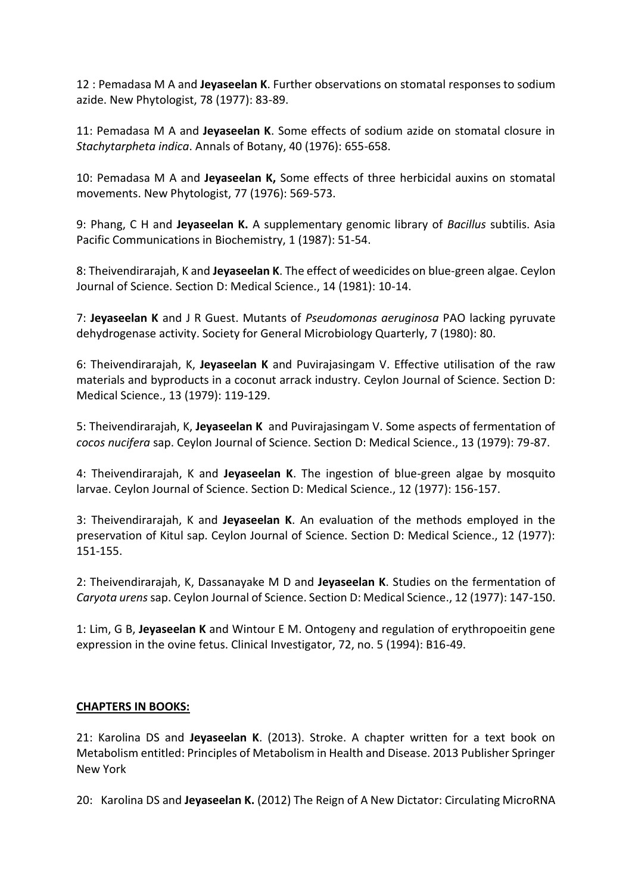12 : Pemadasa M A and **Jeyaseelan K**. Further observations on stomatal responses to sodium azide. New Phytologist, 78 (1977): 83-89.

11: Pemadasa M A and **Jeyaseelan K**. Some effects of sodium azide on stomatal closure in *Stachytarpheta indica*. Annals of Botany, 40 (1976): 655-658.

10: Pemadasa M A and **Jeyaseelan K,** Some effects of three herbicidal auxins on stomatal movements. New Phytologist, 77 (1976): 569-573.

9: Phang, C H and **Jeyaseelan K.** A supplementary genomic library of *Bacillus* subtilis. Asia Pacific Communications in Biochemistry, 1 (1987): 51-54.

8: Theivendirarajah, K and **Jeyaseelan K**. The effect of weedicides on blue-green algae. Ceylon Journal of Science. Section D: Medical Science., 14 (1981): 10-14.

7: **Jeyaseelan K** and J R Guest. Mutants of *Pseudomonas aeruginosa* PAO lacking pyruvate dehydrogenase activity. Society for General Microbiology Quarterly, 7 (1980): 80.

6: Theivendirarajah, K, **Jeyaseelan K** and Puvirajasingam V. Effective utilisation of the raw materials and byproducts in a coconut arrack industry. Ceylon Journal of Science. Section D: Medical Science., 13 (1979): 119-129.

5: Theivendirarajah, K, **Jeyaseelan K** and Puvirajasingam V. Some aspects of fermentation of *cocos nucifera* sap. Ceylon Journal of Science. Section D: Medical Science., 13 (1979): 79-87.

4: Theivendirarajah, K and **Jeyaseelan K**. The ingestion of blue-green algae by mosquito larvae. Ceylon Journal of Science. Section D: Medical Science., 12 (1977): 156-157.

3: Theivendirarajah, K and **Jeyaseelan K**. An evaluation of the methods employed in the preservation of Kitul sap. Ceylon Journal of Science. Section D: Medical Science., 12 (1977): 151-155.

2: Theivendirarajah, K, Dassanayake M D and **Jeyaseelan K**. Studies on the fermentation of *Caryota urens*sap. Ceylon Journal of Science. Section D: Medical Science., 12 (1977): 147-150.

1: Lim, G B, **Jeyaseelan K** and Wintour E M. Ontogeny and regulation of erythropoeitin gene expression in the ovine fetus. Clinical Investigator, 72, no. 5 (1994): B16-49.

## **CHAPTERS IN BOOKS:**

21: Karolina DS and **Jeyaseelan K**. (2013). Stroke. A chapter written for a text book on Metabolism entitled: Principles of Metabolism in Health and Disease. 2013 Publisher Springer New York

20: Karolina DS and **Jeyaseelan K.** (2012) The Reign of A New Dictator: Circulating MicroRNA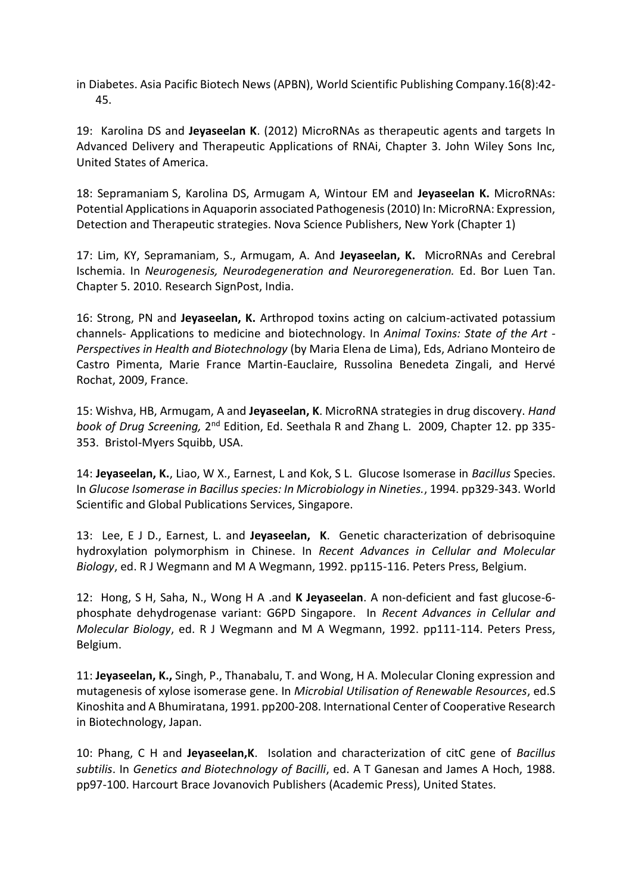in Diabetes. Asia Pacific Biotech News (APBN), World Scientific Publishing Company.16(8):42- 45.

19: Karolina DS and **Jeyaseelan K**. (2012) MicroRNAs as therapeutic agents and targets In Advanced Delivery and Therapeutic Applications of RNAi, Chapter 3. John Wiley Sons Inc, United States of America.

18: Sepramaniam S, Karolina DS, Armugam A, Wintour EM and **Jeyaseelan K.** MicroRNAs: Potential Applications in Aquaporin associated Pathogenesis (2010) In: MicroRNA: Expression, Detection and Therapeutic strategies. Nova Science Publishers, New York (Chapter 1)

17: Lim, KY, Sepramaniam, S., Armugam, A. And **Jeyaseelan, K.** MicroRNAs and Cerebral Ischemia. In *Neurogenesis, Neurodegeneration and Neuroregeneration.* Ed. Bor Luen Tan. Chapter 5. 2010. Research SignPost, India.

16: Strong, PN and **Jeyaseelan, K.** Arthropod toxins acting on calcium-activated potassium channels- Applications to medicine and biotechnology. In *Animal Toxins: State of the Art - Perspectives in Health and Biotechnology* (by Maria Elena de Lima), Eds, Adriano Monteiro de Castro Pimenta, Marie France Martin-Eauclaire, Russolina Benedeta Zingali, and Hervé Rochat, 2009, France.

15: Wishva, HB, Armugam, A and **Jeyaseelan, K**. MicroRNA strategies in drug discovery. *Hand*  book of Drug Screening, 2<sup>nd</sup> Edition, Ed. Seethala R and Zhang L. 2009, Chapter 12. pp 335-353. Bristol-Myers Squibb, USA.

14: **Jeyaseelan, K.**, Liao, W X., Earnest, L and Kok, S L. Glucose Isomerase in *Bacillus* Species. In *Glucose Isomerase in Bacillus species: In Microbiology in Nineties.*, 1994. pp329-343. World Scientific and Global Publications Services, Singapore.

13: Lee, E J D., Earnest, L. and **Jeyaseelan, K**. Genetic characterization of debrisoquine hydroxylation polymorphism in Chinese. In *Recent Advances in Cellular and Molecular Biology*, ed. R J Wegmann and M A Wegmann, 1992. pp115-116. Peters Press, Belgium.

12: Hong, S H, Saha, N., Wong H A .and **K Jeyaseelan**. A non-deficient and fast glucose-6 phosphate dehydrogenase variant: G6PD Singapore. In *Recent Advances in Cellular and Molecular Biology*, ed. R J Wegmann and M A Wegmann, 1992. pp111-114. Peters Press, Belgium.

11: **Jeyaseelan, K.,** Singh, P., Thanabalu, T. and Wong, H A. Molecular Cloning expression and mutagenesis of xylose isomerase gene. In *Microbial Utilisation of Renewable Resources*, ed.S Kinoshita and A Bhumiratana, 1991. pp200-208. International Center of Cooperative Research in Biotechnology, Japan.

10: Phang, C H and **Jeyaseelan,K**. Isolation and characterization of citC gene of *Bacillus subtilis*. In *Genetics and Biotechnology of Bacilli*, ed. A T Ganesan and James A Hoch, 1988. pp97-100. Harcourt Brace Jovanovich Publishers (Academic Press), United States.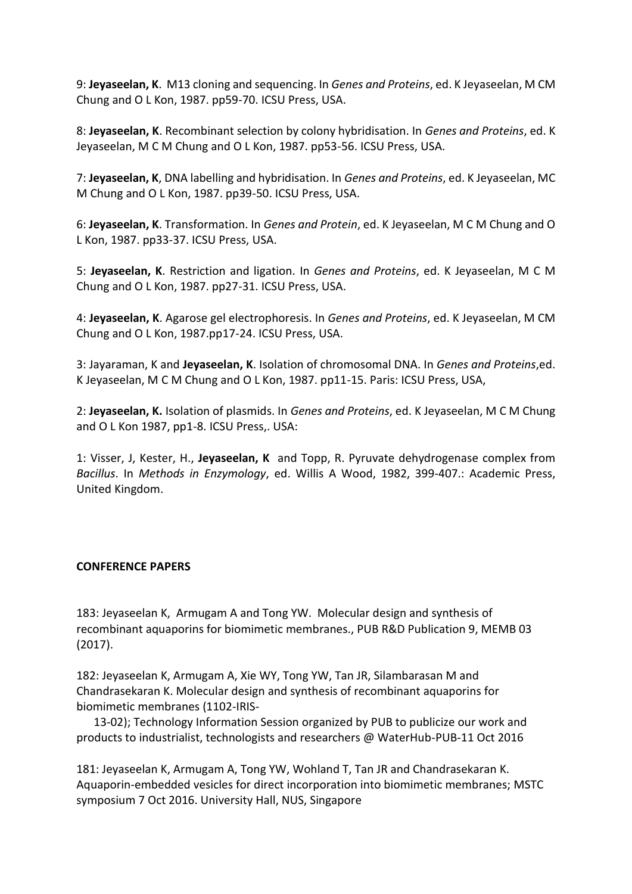9: **Jeyaseelan, K**. M13 cloning and sequencing. In *Genes and Proteins*, ed. K Jeyaseelan, M CM Chung and O L Kon, 1987. pp59-70. ICSU Press, USA.

8: **Jeyaseelan, K**. Recombinant selection by colony hybridisation. In *Genes and Proteins*, ed. K Jeyaseelan, M C M Chung and O L Kon, 1987. pp53-56. ICSU Press, USA.

7: **Jeyaseelan, K**, DNA labelling and hybridisation. In *Genes and Proteins*, ed. K Jeyaseelan, MC M Chung and O L Kon, 1987. pp39-50. ICSU Press, USA.

6: **Jeyaseelan, K**. Transformation. In *Genes and Protein*, ed. K Jeyaseelan, M C M Chung and O L Kon, 1987. pp33-37. ICSU Press, USA.

5: **Jeyaseelan, K**. Restriction and ligation. In *Genes and Proteins*, ed. K Jeyaseelan, M C M Chung and O L Kon, 1987. pp27-31. ICSU Press, USA.

4: **Jeyaseelan, K**. Agarose gel electrophoresis. In *Genes and Proteins*, ed. K Jeyaseelan, M CM Chung and O L Kon, 1987.pp17-24. ICSU Press, USA.

3: Jayaraman, K and **Jeyaseelan, K**. Isolation of chromosomal DNA. In *Genes and Proteins*,ed. K Jeyaseelan, M C M Chung and O L Kon, 1987. pp11-15. Paris: ICSU Press, USA,

2: **Jeyaseelan, K.** Isolation of plasmids. In *Genes and Proteins*, ed. K Jeyaseelan, M C M Chung and O L Kon 1987, pp1-8. ICSU Press,. USA:

1: Visser, J, Kester, H., **Jeyaseelan, K** and Topp, R. Pyruvate dehydrogenase complex from *Bacillus*. In *Methods in Enzymology*, ed. Willis A Wood, 1982, 399-407.: Academic Press, United Kingdom.

## **CONFERENCE PAPERS**

183: Jeyaseelan K, Armugam A and Tong YW. Molecular design and synthesis of recombinant aquaporins for biomimetic membranes., PUB R&D Publication 9, MEMB 03 (2017).

182: Jeyaseelan K, Armugam A, Xie WY, Tong YW, Tan JR, Silambarasan M and Chandrasekaran K. Molecular design and synthesis of recombinant aquaporins for biomimetic membranes (1102-IRIS-

 13-02); Technology Information Session organized by PUB to publicize our work and products to industrialist, technologists and researchers @ WaterHub-PUB-11 Oct 2016

181: Jeyaseelan K, Armugam A, Tong YW, Wohland T, Tan JR and Chandrasekaran K. Aquaporin-embedded vesicles for direct incorporation into biomimetic membranes; MSTC symposium 7 Oct 2016. University Hall, NUS, Singapore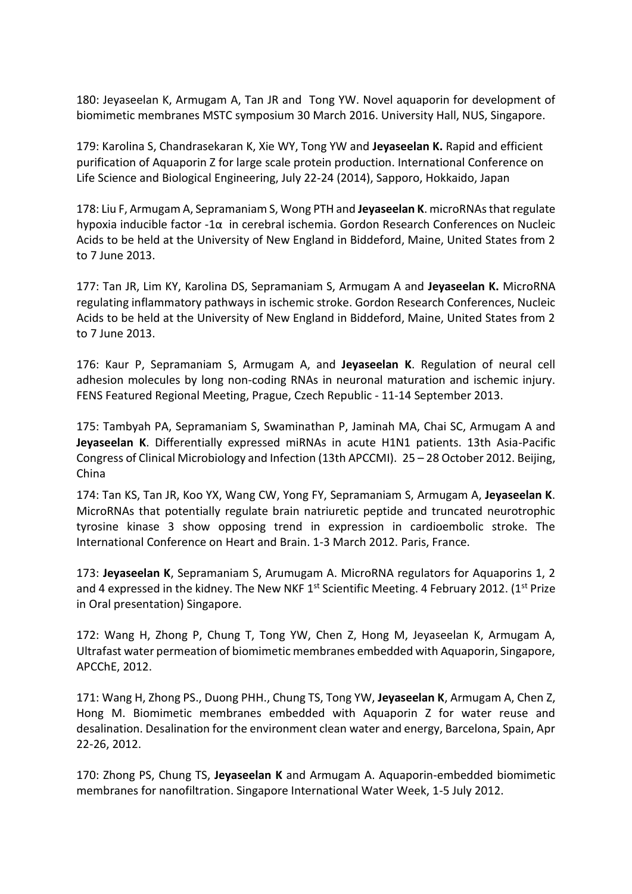180: Jeyaseelan K, Armugam A, Tan JR and Tong YW. Novel aquaporin for development of biomimetic membranes MSTC symposium 30 March 2016. University Hall, NUS, Singapore.

179: Karolina S, Chandrasekaran K, Xie WY, Tong YW and **Jeyaseelan K.** Rapid and efficient purification of Aquaporin Z for large scale protein production. International Conference on Life Science and Biological Engineering, July 22-24 (2014), Sapporo, Hokkaido, Japan

178: Liu F, Armugam A, Sepramaniam S, Wong PTH and **Jeyaseelan K**. microRNAs that regulate hypoxia inducible factor -1α in cerebral ischemia. Gordon Research Conferences on Nucleic Acids to be held at the University of New England in Biddeford, Maine, United States from 2 to 7 June 2013.

177: Tan JR, Lim KY, Karolina DS, Sepramaniam S, Armugam A and **Jeyaseelan K.** MicroRNA regulating inflammatory pathways in ischemic stroke. Gordon Research Conferences, Nucleic Acids to be held at the University of New England in Biddeford, Maine, United States from 2 to 7 June 2013.

176: Kaur P, Sepramaniam S, Armugam A, and **Jeyaseelan K**. Regulation of neural cell adhesion molecules by long non-coding RNAs in neuronal maturation and ischemic injury. FENS Featured Regional Meeting, Prague, Czech Republic - 11-14 September 2013.

175: Tambyah PA, Sepramaniam S, Swaminathan P, Jaminah MA, Chai SC, Armugam A and **Jeyaseelan K**. Differentially expressed miRNAs in acute H1N1 patients. 13th Asia-Pacific Congress of Clinical Microbiology and Infection (13th APCCMI). 25 – 28 October 2012. Beijing, China

174: Tan KS, Tan JR, Koo YX, Wang CW, Yong FY, Sepramaniam S, Armugam A, **Jeyaseelan K**. MicroRNAs that potentially regulate brain natriuretic peptide and truncated neurotrophic tyrosine kinase 3 show opposing trend in expression in cardioembolic stroke. The International Conference on Heart and Brain. 1-3 March 2012. Paris, France.

173: **Jeyaseelan K**, Sepramaniam S, Arumugam A. MicroRNA regulators for Aquaporins 1, 2 and 4 expressed in the kidney. The New NKF  $1<sup>st</sup>$  Scientific Meeting. 4 February 2012. ( $1<sup>st</sup>$  Prize in Oral presentation) Singapore.

172: Wang H, Zhong P, Chung T, Tong YW, Chen Z, Hong M, Jeyaseelan K, Armugam A, Ultrafast water permeation of biomimetic membranes embedded with Aquaporin, Singapore, APCChE, 2012.

171: Wang H, Zhong PS., Duong PHH., Chung TS, Tong YW, **Jeyaseelan K**, Armugam A, Chen Z, Hong M. Biomimetic membranes embedded with Aquaporin Z for water reuse and desalination. Desalination for the environment clean water and energy, Barcelona, Spain, Apr 22-26, 2012.

170: Zhong PS, Chung TS, **Jeyaseelan K** and Armugam A. Aquaporin-embedded biomimetic membranes for nanofiltration. Singapore International Water Week, 1-5 July 2012.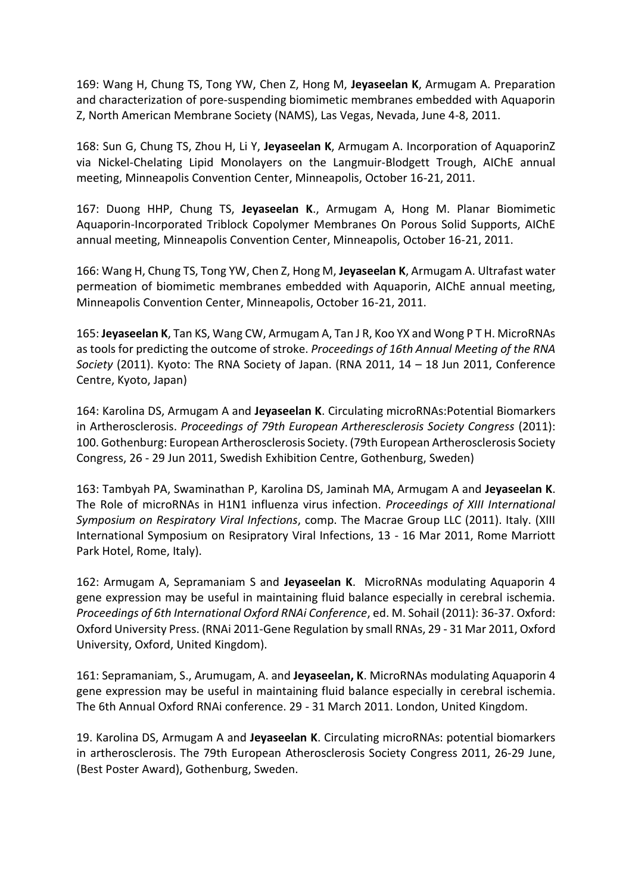169: Wang H, Chung TS, Tong YW, Chen Z, Hong M, **Jeyaseelan K**, Armugam A. Preparation and characterization of pore-suspending biomimetic membranes embedded with Aquaporin Z, North American Membrane Society (NAMS), Las Vegas, Nevada, June 4-8, 2011.

168: Sun G, Chung TS, Zhou H, Li Y, **Jeyaseelan K**, Armugam A. Incorporation of AquaporinZ via Nickel-Chelating Lipid Monolayers on the Langmuir-Blodgett Trough, AIChE annual meeting, Minneapolis Convention Center, Minneapolis, October 16-21, 2011.

167: Duong HHP, Chung TS, **Jeyaseelan K**., Armugam A, Hong M. Planar Biomimetic Aquaporin-Incorporated Triblock Copolymer Membranes On Porous Solid Supports, AIChE annual meeting, Minneapolis Convention Center, Minneapolis, October 16-21, 2011.

166: Wang H, Chung TS, Tong YW, Chen Z, Hong M, **Jeyaseelan K**, Armugam A. Ultrafast water permeation of biomimetic membranes embedded with Aquaporin, AIChE annual meeting, Minneapolis Convention Center, Minneapolis, October 16-21, 2011.

165: **Jeyaseelan K**, Tan KS, Wang CW, Armugam A, Tan J R, Koo YX and Wong P T H. MicroRNAs as tools for predicting the outcome of stroke. *Proceedings of 16th Annual Meeting of the RNA Society* (2011). Kyoto: The RNA Society of Japan. (RNA 2011, 14 – 18 Jun 2011, Conference Centre, Kyoto, Japan)

164: Karolina DS, Armugam A and **Jeyaseelan K**. Circulating microRNAs:Potential Biomarkers in Artherosclerosis. *Proceedings of 79th European Artheresclerosis Society Congress* (2011): 100. Gothenburg: European Artherosclerosis Society. (79th European Artherosclerosis Society Congress, 26 - 29 Jun 2011, Swedish Exhibition Centre, Gothenburg, Sweden)

163: Tambyah PA, Swaminathan P, Karolina DS, Jaminah MA, Armugam A and **Jeyaseelan K**. The Role of microRNAs in H1N1 influenza virus infection. *Proceedings of XIII International Symposium on Respiratory Viral Infections*, comp. The Macrae Group LLC (2011). Italy. (XIII International Symposium on Resipratory Viral Infections, 13 - 16 Mar 2011, Rome Marriott Park Hotel, Rome, Italy).

162: Armugam A, Sepramaniam S and **Jeyaseelan K**. MicroRNAs modulating Aquaporin 4 gene expression may be useful in maintaining fluid balance especially in cerebral ischemia. *Proceedings of 6th International Oxford RNAi Conference*, ed. M. Sohail (2011): 36-37. Oxford: Oxford University Press. (RNAi 2011-Gene Regulation by small RNAs, 29 - 31 Mar 2011, Oxford University, Oxford, United Kingdom).

161: Sepramaniam, S., Arumugam, A. and **Jeyaseelan, K**. MicroRNAs modulating Aquaporin 4 gene expression may be useful in maintaining fluid balance especially in cerebral ischemia. The 6th Annual Oxford RNAi conference. 29 - 31 March 2011. London, United Kingdom.

19. Karolina DS, Armugam A and **Jeyaseelan K**. Circulating microRNAs: potential biomarkers in artherosclerosis. The 79th European Atherosclerosis Society Congress 2011, 26-29 June, (Best Poster Award), Gothenburg, Sweden.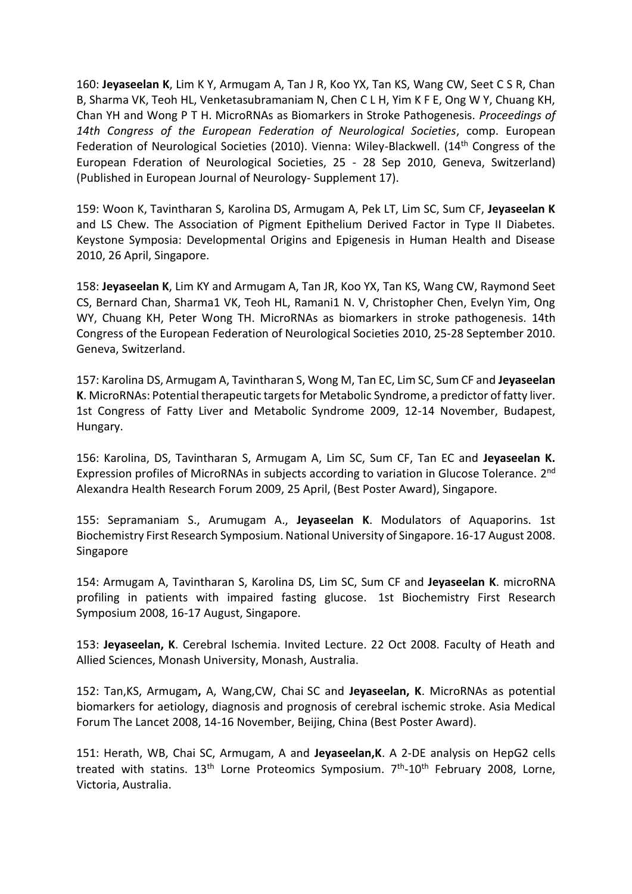160: **Jeyaseelan K**, Lim K Y, Armugam A, Tan J R, Koo YX, Tan KS, Wang CW, Seet C S R, Chan B, Sharma VK, Teoh HL, Venketasubramaniam N, Chen C L H, Yim K F E, Ong W Y, Chuang KH, Chan YH and Wong P T H. MicroRNAs as Biomarkers in Stroke Pathogenesis. *Proceedings of 14th Congress of the European Federation of Neurological Societies*, comp. European Federation of Neurological Societies (2010). Vienna: Wiley-Blackwell. (14<sup>th</sup> Congress of the European Fderation of Neurological Societies, 25 - 28 Sep 2010, Geneva, Switzerland) (Published in European Journal of Neurology- Supplement 17).

159: Woon K, Tavintharan S, Karolina DS, Armugam A, Pek LT, Lim SC, Sum CF, **Jeyaseelan K** and LS Chew. The Association of Pigment Epithelium Derived Factor in Type II Diabetes. Keystone Symposia: Developmental Origins and Epigenesis in Human Health and Disease 2010, 26 April, Singapore.

158: **Jeyaseelan K**, Lim KY and Armugam A, Tan JR, Koo YX, Tan KS, Wang CW, Raymond Seet CS, Bernard Chan, Sharma1 VK, Teoh HL, Ramani1 N. V, Christopher Chen, Evelyn Yim, Ong WY, Chuang KH, Peter Wong TH. MicroRNAs as biomarkers in stroke pathogenesis. 14th Congress of the European Federation of Neurological Societies 2010, 25-28 September 2010. Geneva, Switzerland.

157: Karolina DS, Armugam A, Tavintharan S, Wong M, Tan EC, Lim SC, Sum CF and **Jeyaseelan K**. MicroRNAs: Potential therapeutic targets for Metabolic Syndrome, a predictor of fatty liver. 1st Congress of Fatty Liver and Metabolic Syndrome 2009, 12-14 November, Budapest, Hungary.

156: Karolina, DS, Tavintharan S, Armugam A, Lim SC, Sum CF, Tan EC and **Jeyaseelan K.**  Expression profiles of MicroRNAs in subjects according to variation in Glucose Tolerance. 2<sup>nd</sup> Alexandra Health Research Forum 2009, 25 April, (Best Poster Award), Singapore.

155: Sepramaniam S., Arumugam A., **Jeyaseelan K**. Modulators of Aquaporins. 1st Biochemistry First Research Symposium. National University of Singapore. 16-17 August 2008. Singapore

154: Armugam A, Tavintharan S, Karolina DS, Lim SC, Sum CF and **Jeyaseelan K**. microRNA profiling in patients with impaired fasting glucose. 1st Biochemistry First Research Symposium 2008, 16-17 August, Singapore.

153: **Jeyaseelan, K**. Cerebral Ischemia. Invited Lecture. 22 Oct 2008. Faculty of Heath and Allied Sciences, Monash University, Monash, Australia.

152: Tan,KS, Armugam**,** A, Wang,CW, Chai SC and **Jeyaseelan, K**. MicroRNAs as potential biomarkers for aetiology, diagnosis and prognosis of cerebral ischemic stroke. Asia Medical Forum The Lancet 2008, 14-16 November, Beijing, China (Best Poster Award).

151: Herath, WB, Chai SC, Armugam, A and **Jeyaseelan,K**. A 2-DE analysis on HepG2 cells treated with statins. 13<sup>th</sup> Lorne Proteomics Symposium. 7<sup>th</sup>-10<sup>th</sup> February 2008, Lorne, Victoria, Australia.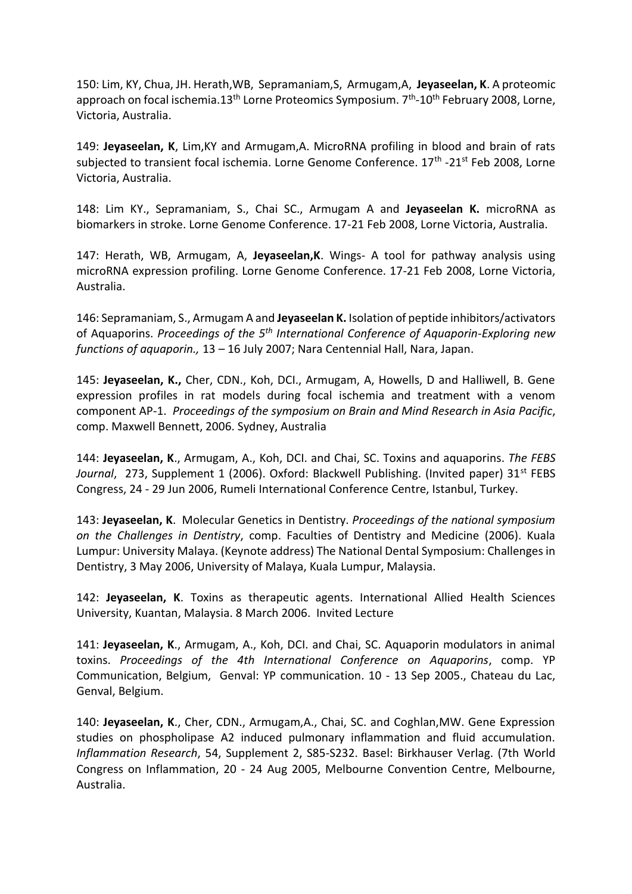150: Lim, KY, Chua, JH. Herath,WB, Sepramaniam,S, Armugam,A, **Jeyaseelan, K**. A proteomic approach on focal ischemia.13<sup>th</sup> Lorne Proteomics Symposium. 7<sup>th</sup>-10<sup>th</sup> February 2008, Lorne, Victoria, Australia.

149: **Jeyaseelan, K**, Lim,KY and Armugam,A. MicroRNA profiling in blood and brain of rats subjected to transient focal ischemia. Lorne Genome Conference. 17<sup>th</sup> -21<sup>st</sup> Feb 2008, Lorne Victoria, Australia.

148: Lim KY., Sepramaniam, S., Chai SC., Armugam A and **Jeyaseelan K.** microRNA as biomarkers in stroke. Lorne Genome Conference. 17-21 Feb 2008, Lorne Victoria, Australia.

147: Herath, WB, Armugam, A, **Jeyaseelan,K**. Wings- A tool for pathway analysis using microRNA expression profiling. Lorne Genome Conference. 17-21 Feb 2008, Lorne Victoria, Australia.

146: Sepramaniam, S., Armugam A and **Jeyaseelan K.** Isolation of peptide inhibitors/activators of Aquaporins. *Proceedings of the 5th International Conference of Aquaporin-Exploring new functions of aquaporin.,* 13 – 16 July 2007; Nara Centennial Hall, Nara, Japan.

145: **Jeyaseelan, K.,** Cher, CDN., Koh, DCI., Armugam, A, Howells, D and Halliwell, B. Gene expression profiles in rat models during focal ischemia and treatment with a venom component AP-1. *Proceedings of the symposium on Brain and Mind Research in Asia Pacific*, comp. Maxwell Bennett, 2006. Sydney, Australia

144: **Jeyaseelan, K**., Armugam, A., Koh, DCI. and Chai, SC. Toxins and aquaporins. *The FEBS*  Journal, 273, Supplement 1 (2006). Oxford: Blackwell Publishing. (Invited paper) 31<sup>st</sup> FEBS Congress, 24 - 29 Jun 2006, Rumeli International Conference Centre, Istanbul, Turkey.

143: **Jeyaseelan, K**. Molecular Genetics in Dentistry. *Proceedings of the national symposium on the Challenges in Dentistry*, comp. Faculties of Dentistry and Medicine (2006). Kuala Lumpur: University Malaya. (Keynote address) The National Dental Symposium: Challenges in Dentistry, 3 May 2006, University of Malaya, Kuala Lumpur, Malaysia.

142: **Jeyaseelan, K**. Toxins as therapeutic agents. International Allied Health Sciences University, Kuantan, Malaysia. 8 March 2006. Invited Lecture

141: **Jeyaseelan, K**., Armugam, A., Koh, DCI. and Chai, SC. Aquaporin modulators in animal toxins. *Proceedings of the 4th International Conference on Aquaporins*, comp. YP Communication, Belgium, Genval: YP communication. 10 - 13 Sep 2005., Chateau du Lac, Genval, Belgium.

140: **Jeyaseelan, K**., Cher, CDN., Armugam,A., Chai, SC. and Coghlan,MW. Gene Expression studies on phospholipase A2 induced pulmonary inflammation and fluid accumulation. *Inflammation Research*, 54, Supplement 2, S85-S232. Basel: Birkhauser Verlag. (7th World Congress on Inflammation, 20 - 24 Aug 2005, Melbourne Convention Centre, Melbourne, Australia.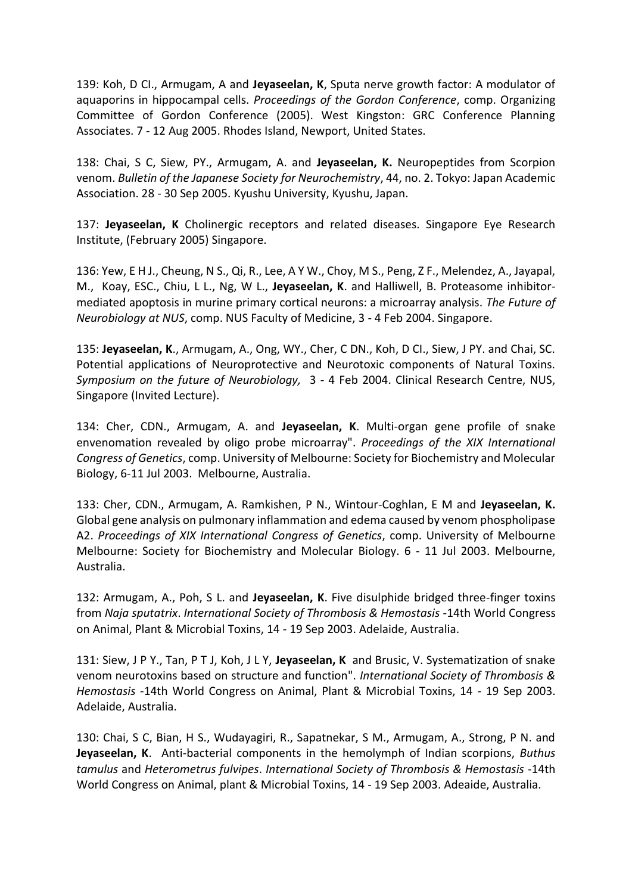139: Koh, D CI., Armugam, A and **Jeyaseelan, K**, Sputa nerve growth factor: A modulator of aquaporins in hippocampal cells. *Proceedings of the Gordon Conference*, comp. Organizing Committee of Gordon Conference (2005). West Kingston: GRC Conference Planning Associates. 7 - 12 Aug 2005. Rhodes Island, Newport, United States.

138: Chai, S C, Siew, PY., Armugam, A. and **Jeyaseelan, K.** Neuropeptides from Scorpion venom. *Bulletin of the Japanese Society for Neurochemistry*, 44, no. 2. Tokyo: Japan Academic Association. 28 - 30 Sep 2005. Kyushu University, Kyushu, Japan.

137: **Jeyaseelan, K** Cholinergic receptors and related diseases. Singapore Eye Research Institute, (February 2005) Singapore.

136: Yew, E H J., Cheung, N S., Qi, R., Lee, A Y W., Choy, M S., Peng, Z F., Melendez, A., Jayapal, M., Koay, ESC., Chiu, L L., Ng, W L., **Jeyaseelan, K**. and Halliwell, B. Proteasome inhibitormediated apoptosis in murine primary cortical neurons: a microarray analysis. *The Future of Neurobiology at NUS*, comp. NUS Faculty of Medicine, 3 - 4 Feb 2004. Singapore.

135: **Jeyaseelan, K**., Armugam, A., Ong, WY., Cher, C DN., Koh, D CI., Siew, J PY. and Chai, SC. Potential applications of Neuroprotective and Neurotoxic components of Natural Toxins. *Symposium on the future of Neurobiology,* 3 - 4 Feb 2004. Clinical Research Centre, NUS, Singapore (Invited Lecture).

134: Cher, CDN., Armugam, A. and **Jeyaseelan, K**. Multi-organ gene profile of snake envenomation revealed by oligo probe microarray". *Proceedings of the XIX International Congress of Genetics*, comp. University of Melbourne: Society for Biochemistry and Molecular Biology, 6-11 Jul 2003. Melbourne, Australia.

133: Cher, CDN., Armugam, A. Ramkishen, P N., Wintour-Coghlan, E M and **Jeyaseelan, K.** Global gene analysis on pulmonary inflammation and edema caused by venom phospholipase A2. *Proceedings of XIX International Congress of Genetics*, comp. University of Melbourne Melbourne: Society for Biochemistry and Molecular Biology. 6 - 11 Jul 2003. Melbourne, Australia.

132: Armugam, A., Poh, S L. and **Jeyaseelan, K**. Five disulphide bridged three-finger toxins from *Naja sputatrix*. *International Society of Thrombosis & Hemostasis* -14th World Congress on Animal, Plant & Microbial Toxins, 14 - 19 Sep 2003. Adelaide, Australia.

131: Siew, J P Y., Tan, P T J, Koh, J L Y, **Jeyaseelan, K** and Brusic, V. Systematization of snake venom neurotoxins based on structure and function". *International Society of Thrombosis & Hemostasis* -14th World Congress on Animal, Plant & Microbial Toxins, 14 - 19 Sep 2003. Adelaide, Australia.

130: Chai, S C, Bian, H S., Wudayagiri, R., Sapatnekar, S M., Armugam, A., Strong, P N. and **Jeyaseelan, K**. Anti-bacterial components in the hemolymph of Indian scorpions, *Buthus tamulus* and *Heterometrus fulvipes*. *International Society of Thrombosis & Hemostasis* -14th World Congress on Animal, plant & Microbial Toxins, 14 - 19 Sep 2003. Adeaide, Australia.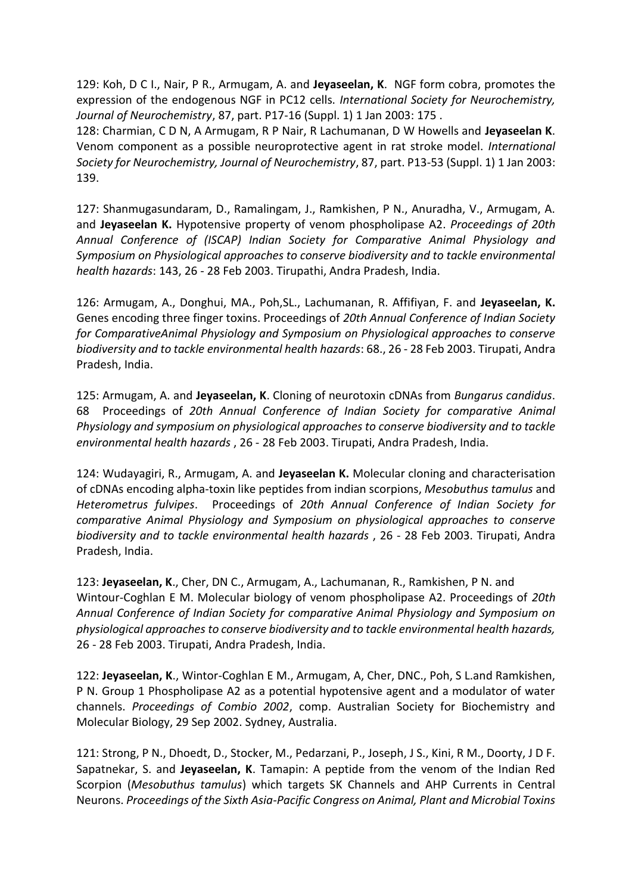129: Koh, D C I., Nair, P R., Armugam, A. and **Jeyaseelan, K**. NGF form cobra, promotes the expression of the endogenous NGF in PC12 cells. *International Society for Neurochemistry, Journal of Neurochemistry*, 87, part. P17-16 (Suppl. 1) 1 Jan 2003: 175 .

128: Charmian, C D N, A Armugam, R P Nair, R Lachumanan, D W Howells and **Jeyaseelan K**. Venom component as a possible neuroprotective agent in rat stroke model. *International Society for Neurochemistry, Journal of Neurochemistry*, 87, part. P13-53 (Suppl. 1) 1 Jan 2003: 139.

127: Shanmugasundaram, D., Ramalingam, J., Ramkishen, P N., Anuradha, V., Armugam, A. and **Jeyaseelan K.** Hypotensive property of venom phospholipase A2. *Proceedings of 20th Annual Conference of (ISCAP) Indian Society for Comparative Animal Physiology and Symposium on Physiological approaches to conserve biodiversity and to tackle environmental health hazards*: 143, 26 - 28 Feb 2003. Tirupathi, Andra Pradesh, India.

126: Armugam, A., Donghui, MA., Poh,SL., Lachumanan, R. Affifiyan, F. and **Jeyaseelan, K.**  Genes encoding three finger toxins. Proceedings of *20th Annual Conference of Indian Society for ComparativeAnimal Physiology and Symposium on Physiological approaches to conserve biodiversity and to tackle environmental health hazards*: 68., 26 - 28 Feb 2003. Tirupati, Andra Pradesh, India.

125: Armugam, A. and **Jeyaseelan, K**. Cloning of neurotoxin cDNAs from *Bungarus candidus*. 68 Proceedings of *20th Annual Conference of Indian Society for comparative Animal Physiology and symposium on physiological approaches to conserve biodiversity and to tackle environmental health hazards* , 26 - 28 Feb 2003. Tirupati, Andra Pradesh, India.

124: Wudayagiri, R., Armugam, A. and **Jeyaseelan K.** Molecular cloning and characterisation of cDNAs encoding alpha-toxin like peptides from indian scorpions, *Mesobuthus tamulus* and *Heterometrus fulvipes*. Proceedings of *20th Annual Conference of Indian Society for comparative Animal Physiology and Symposium on physiological approaches to conserve biodiversity and to tackle environmental health hazards* , 26 - 28 Feb 2003. Tirupati, Andra Pradesh, India.

123: **Jeyaseelan, K**., Cher, DN C., Armugam, A., Lachumanan, R., Ramkishen, P N. and Wintour-Coghlan E M. Molecular biology of venom phospholipase A2. Proceedings of *20th Annual Conference of Indian Society for comparative Animal Physiology and Symposium on physiological approaches to conserve biodiversity and to tackle environmental health hazards,*  26 - 28 Feb 2003. Tirupati, Andra Pradesh, India.

122: **Jeyaseelan, K**., Wintor-Coghlan E M., Armugam, A, Cher, DNC., Poh, S L.and Ramkishen, P N. Group 1 Phospholipase A2 as a potential hypotensive agent and a modulator of water channels. *Proceedings of Combio 2002*, comp. Australian Society for Biochemistry and Molecular Biology, 29 Sep 2002. Sydney, Australia.

121: Strong, P N., Dhoedt, D., Stocker, M., Pedarzani, P., Joseph, J S., Kini, R M., Doorty, J D F. Sapatnekar, S. and **Jeyaseelan, K**. Tamapin: A peptide from the venom of the Indian Red Scorpion (*Mesobuthus tamulus*) which targets SK Channels and AHP Currents in Central Neurons. *Proceedings of the Sixth Asia-Pacific Congress on Animal, Plant and Microbial Toxins*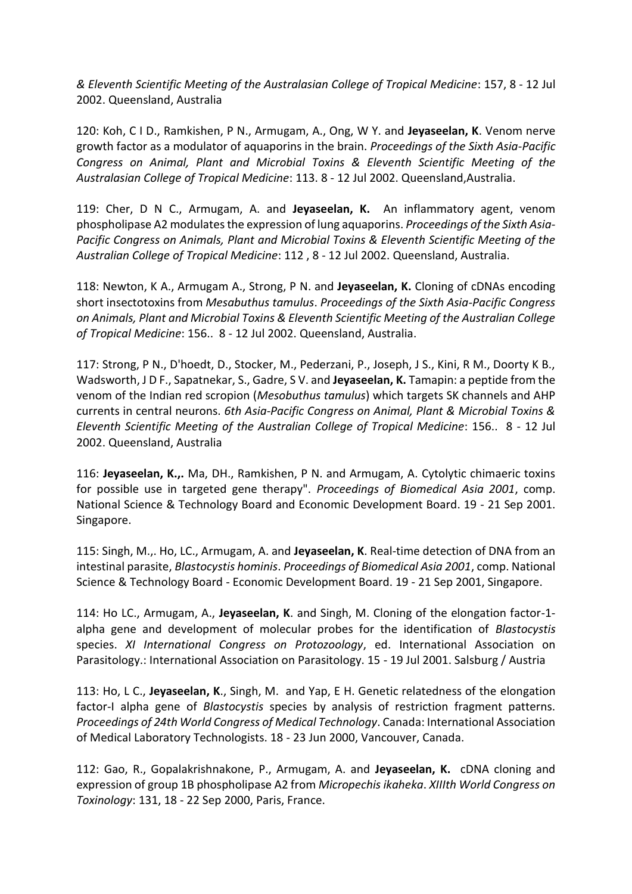*& Eleventh Scientific Meeting of the Australasian College of Tropical Medicine*: 157, 8 - 12 Jul 2002. Queensland, Australia

120: Koh, C I D., Ramkishen, P N., Armugam, A., Ong, W Y. and **Jeyaseelan, K**. Venom nerve growth factor as a modulator of aquaporins in the brain. *Proceedings of the Sixth Asia-Pacific Congress on Animal, Plant and Microbial Toxins & Eleventh Scientific Meeting of the Australasian College of Tropical Medicine*: 113. 8 - 12 Jul 2002. Queensland,Australia.

119: Cher, D N C., Armugam, A. and **Jeyaseelan, K.** An inflammatory agent, venom phospholipase A2 modulates the expression of lung aquaporins. *Proceedings of the Sixth Asia-Pacific Congress on Animals, Plant and Microbial Toxins & Eleventh Scientific Meeting of the Australian College of Tropical Medicine*: 112 , 8 - 12 Jul 2002. Queensland, Australia.

118: Newton, K A., Armugam A., Strong, P N. and **Jeyaseelan, K.** Cloning of cDNAs encoding short insectotoxins from *Mesabuthus tamulus*. *Proceedings of the Sixth Asia-Pacific Congress on Animals, Plant and Microbial Toxins & Eleventh Scientific Meeting of the Australian College of Tropical Medicine*: 156.. 8 - 12 Jul 2002. Queensland, Australia.

117: Strong, P N., D'hoedt, D., Stocker, M., Pederzani, P., Joseph, J S., Kini, R M., Doorty K B., Wadsworth, J D F., Sapatnekar, S., Gadre, S V. and **Jeyaseelan, K.** Tamapin: a peptide from the venom of the Indian red scropion (*Mesobuthus tamulus*) which targets SK channels and AHP currents in central neurons. *6th Asia-Pacific Congress on Animal, Plant & Microbial Toxins & Eleventh Scientific Meeting of the Australian College of Tropical Medicine*: 156.. 8 - 12 Jul 2002. Queensland, Australia

116: **Jeyaseelan, K.,.** Ma, DH., Ramkishen, P N. and Armugam, A. Cytolytic chimaeric toxins for possible use in targeted gene therapy". *Proceedings of Biomedical Asia 2001*, comp. National Science & Technology Board and Economic Development Board. 19 - 21 Sep 2001. Singapore.

115: Singh, M.,. Ho, LC., Armugam, A. and **Jeyaseelan, K**. Real-time detection of DNA from an intestinal parasite, *Blastocystis hominis*. *Proceedings of Biomedical Asia 2001*, comp. National Science & Technology Board - Economic Development Board. 19 - 21 Sep 2001, Singapore.

114: Ho LC., Armugam, A., **Jeyaseelan, K**. and Singh, M. Cloning of the elongation factor-1 alpha gene and development of molecular probes for the identification of *Blastocystis* species. *XI International Congress on Protozoology*, ed. International Association on Parasitology.: International Association on Parasitology. 15 - 19 Jul 2001. Salsburg / Austria

113: Ho, L C., **Jeyaseelan, K**., Singh, M. and Yap, E H. Genetic relatedness of the elongation factor-I alpha gene of *Blastocystis* species by analysis of restriction fragment patterns. *Proceedings of 24th World Congress of Medical Technology*. Canada: International Association of Medical Laboratory Technologists. 18 - 23 Jun 2000, Vancouver, Canada.

112: Gao, R., Gopalakrishnakone, P., Armugam, A. and **Jeyaseelan, K.** cDNA cloning and expression of group 1B phospholipase A2 from *Micropechis ikaheka*. *XIIIth World Congress on Toxinology*: 131, 18 - 22 Sep 2000, Paris, France.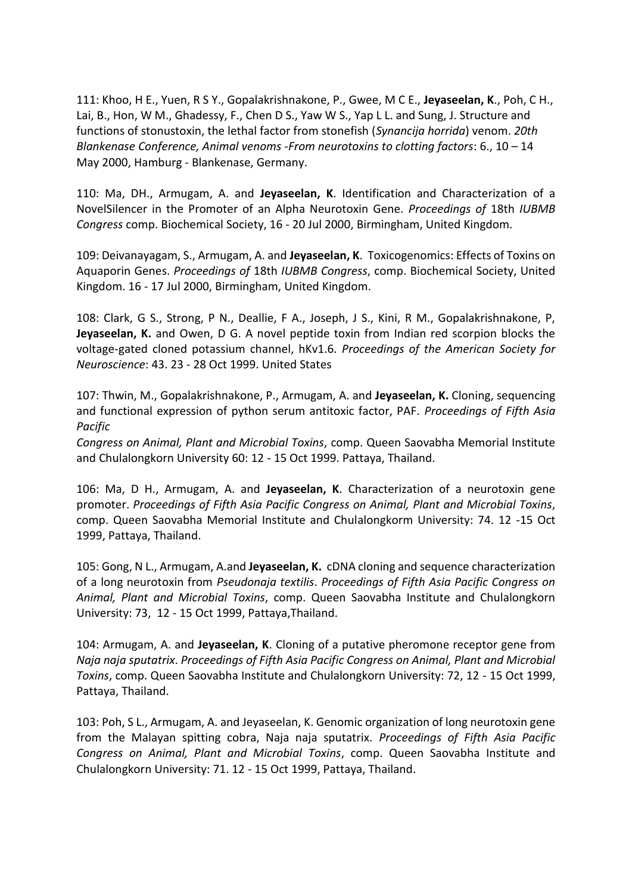111: Khoo, H E., Yuen, R S Y., Gopalakrishnakone, P., Gwee, M C E., **Jeyaseelan, K**., Poh, C H., Lai, B., Hon, W M., Ghadessy, F., Chen D S., Yaw W S., Yap L L. and Sung, J. Structure and functions of stonustoxin, the lethal factor from stonefish (*Synancija horrida*) venom. *20th Blankenase Conference, Animal venoms -From neurotoxins to clotting factors*: 6., 10 – 14 May 2000, Hamburg - Blankenase, Germany.

110: Ma, DH., Armugam, A. and **Jeyaseelan, K**. Identification and Characterization of a NovelSilencer in the Promoter of an Alpha Neurotoxin Gene. *Proceedings of* 18th *IUBMB Congress* comp. Biochemical Society, 16 - 20 Jul 2000, Birmingham, United Kingdom.

109: Deivanayagam, S., Armugam, A. and **Jeyaseelan, K**. Toxicogenomics: Effects of Toxins on Aquaporin Genes. *Proceedings of* 18th *IUBMB Congress*, comp. Biochemical Society, United Kingdom. 16 - 17 Jul 2000, Birmingham, United Kingdom.

108: Clark, G S., Strong, P N., Deallie, F A., Joseph, J S., Kini, R M., Gopalakrishnakone, P, **Jeyaseelan, K.** and Owen, D G. A novel peptide toxin from Indian red scorpion blocks the voltage-gated cloned potassium channel, hKv1.6. *Proceedings of the American Society for Neuroscience*: 43. 23 - 28 Oct 1999. United States

107: Thwin, M., Gopalakrishnakone, P., Armugam, A. and **Jeyaseelan, K.** Cloning, sequencing and functional expression of python serum antitoxic factor, PAF. *Proceedings of Fifth Asia Pacific*

*Congress on Animal, Plant and Microbial Toxins*, comp. Queen Saovabha Memorial Institute and Chulalongkorn University 60: 12 - 15 Oct 1999. Pattaya, Thailand.

106: Ma, D H., Armugam, A. and **Jeyaseelan, K**. Characterization of a neurotoxin gene promoter. *Proceedings of Fifth Asia Pacific Congress on Animal, Plant and Microbial Toxins*, comp. Queen Saovabha Memorial Institute and Chulalongkorm University: 74. 12 -15 Oct 1999, Pattaya, Thailand.

105: Gong, N L., Armugam, A.and **Jeyaseelan, K.** cDNA cloning and sequence characterization of a long neurotoxin from *Pseudonaja textilis*. *Proceedings of Fifth Asia Pacific Congress on Animal, Plant and Microbial Toxins*, comp. Queen Saovabha Institute and Chulalongkorn University: 73, 12 - 15 Oct 1999, Pattaya,Thailand.

104: Armugam, A. and **Jeyaseelan, K**. Cloning of a putative pheromone receptor gene from *Naja naja sputatrix*. *Proceedings of Fifth Asia Pacific Congress on Animal, Plant and Microbial Toxins*, comp. Queen Saovabha Institute and Chulalongkorn University: 72, 12 - 15 Oct 1999, Pattaya, Thailand.

103: Poh, S L., Armugam, A. and Jeyaseelan, K. Genomic organization of long neurotoxin gene from the Malayan spitting cobra, Naja naja sputatrix. *Proceedings of Fifth Asia Pacific Congress on Animal, Plant and Microbial Toxins*, comp. Queen Saovabha Institute and Chulalongkorn University: 71. 12 - 15 Oct 1999, Pattaya, Thailand.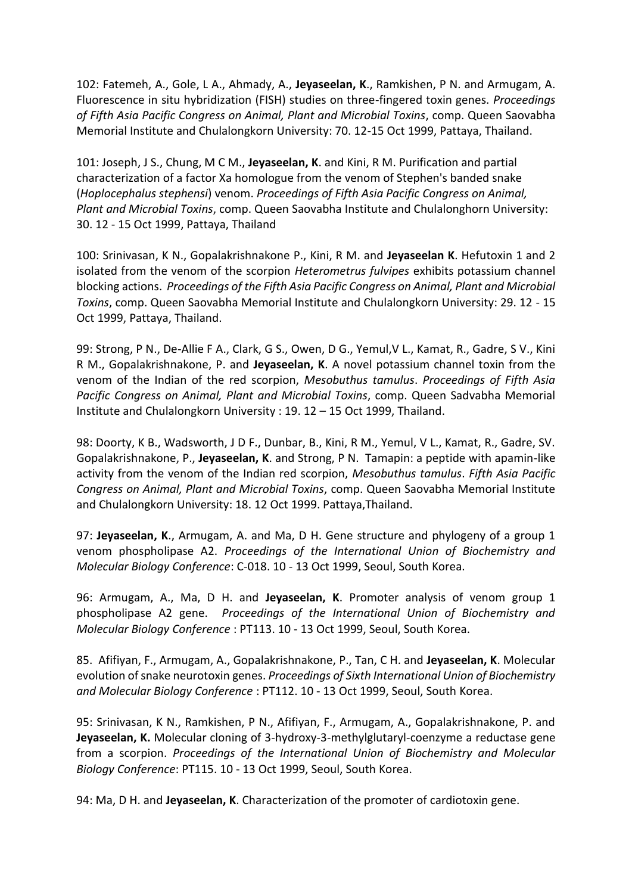102: Fatemeh, A., Gole, L A., Ahmady, A., **Jeyaseelan, K**., Ramkishen, P N. and Armugam, A. Fluorescence in situ hybridization (FISH) studies on three-fingered toxin genes. *Proceedings of Fifth Asia Pacific Congress on Animal, Plant and Microbial Toxins*, comp. Queen Saovabha Memorial Institute and Chulalongkorn University: 70. 12-15 Oct 1999, Pattaya, Thailand.

101: Joseph, J S., Chung, M C M., **Jeyaseelan, K**. and Kini, R M. Purification and partial characterization of a factor Xa homologue from the venom of Stephen's banded snake (*Hoplocephalus stephensi*) venom. *Proceedings of Fifth Asia Pacific Congress on Animal, Plant and Microbial Toxins*, comp. Queen Saovabha Institute and Chulalonghorn University: 30. 12 - 15 Oct 1999, Pattaya, Thailand

100: Srinivasan, K N., Gopalakrishnakone P., Kini, R M. and **Jeyaseelan K**. Hefutoxin 1 and 2 isolated from the venom of the scorpion *Heterometrus fulvipes* exhibits potassium channel blocking actions. *Proceedings of the Fifth Asia Pacific Congress on Animal, Plant and Microbial Toxins*, comp. Queen Saovabha Memorial Institute and Chulalongkorn University: 29. 12 - 15 Oct 1999, Pattaya, Thailand.

99: Strong, P N., De-Allie F A., Clark, G S., Owen, D G., Yemul,V L., Kamat, R., Gadre, S V., Kini R M., Gopalakrishnakone, P. and **Jeyaseelan, K**. A novel potassium channel toxin from the venom of the Indian of the red scorpion, *Mesobuthus tamulus*. *Proceedings of Fifth Asia Pacific Congress on Animal, Plant and Microbial Toxins*, comp. Queen Sadvabha Memorial Institute and Chulalongkorn University : 19. 12 – 15 Oct 1999, Thailand.

98: Doorty, K B., Wadsworth, J D F., Dunbar, B., Kini, R M., Yemul, V L., Kamat, R., Gadre, SV. Gopalakrishnakone, P., **Jeyaseelan, K**. and Strong, P N. Tamapin: a peptide with apamin-like activity from the venom of the Indian red scorpion, *Mesobuthus tamulus*. *Fifth Asia Pacific Congress on Animal, Plant and Microbial Toxins*, comp. Queen Saovabha Memorial Institute and Chulalongkorn University: 18. 12 Oct 1999. Pattaya,Thailand.

97: **Jeyaseelan, K**., Armugam, A. and Ma, D H. Gene structure and phylogeny of a group 1 venom phospholipase A2. *Proceedings of the International Union of Biochemistry and Molecular Biology Conference*: C-018. 10 - 13 Oct 1999, Seoul, South Korea.

96: Armugam, A., Ma, D H. and **Jeyaseelan, K**. Promoter analysis of venom group 1 phospholipase A2 gene. *Proceedings of the International Union of Biochemistry and Molecular Biology Conference* : PT113. 10 - 13 Oct 1999, Seoul, South Korea.

85. Afifiyan, F., Armugam, A., Gopalakrishnakone, P., Tan, C H. and **Jeyaseelan, K**. Molecular evolution of snake neurotoxin genes. *Proceedings of Sixth International Union of Biochemistry and Molecular Biology Conference* : PT112. 10 - 13 Oct 1999, Seoul, South Korea.

95: Srinivasan, K N., Ramkishen, P N., Afifiyan, F., Armugam, A., Gopalakrishnakone, P. and **Jeyaseelan, K.** Molecular cloning of 3-hydroxy-3-methylglutaryl-coenzyme a reductase gene from a scorpion. *Proceedings of the International Union of Biochemistry and Molecular Biology Conference*: PT115. 10 - 13 Oct 1999, Seoul, South Korea.

94: Ma, D H. and **Jeyaseelan, K**. Characterization of the promoter of cardiotoxin gene.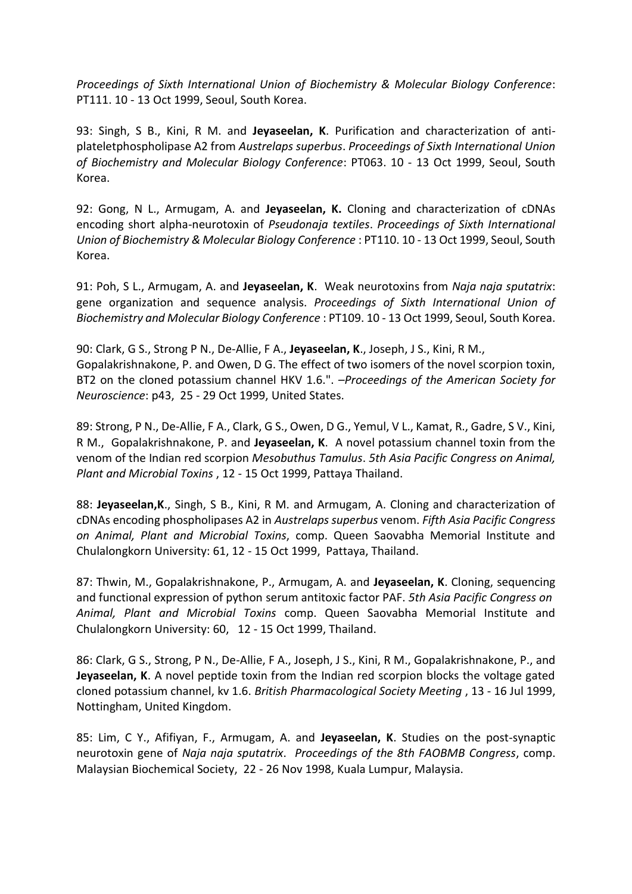*Proceedings of Sixth International Union of Biochemistry & Molecular Biology Conference*: PT111. 10 - 13 Oct 1999, Seoul, South Korea.

93: Singh, S B., Kini, R M. and **Jeyaseelan, K**. Purification and characterization of antiplateletphospholipase A2 from *Austrelaps superbus*. *Proceedings of Sixth International Union of Biochemistry and Molecular Biology Conference*: PT063. 10 - 13 Oct 1999, Seoul, South Korea.

92: Gong, N L., Armugam, A. and **Jeyaseelan, K.** Cloning and characterization of cDNAs encoding short alpha-neurotoxin of *Pseudonaja textiles*. *Proceedings of Sixth International Union of Biochemistry & Molecular Biology Conference* : PT110. 10 - 13 Oct 1999, Seoul, South Korea.

91: Poh, S L., Armugam, A. and **Jeyaseelan, K**. Weak neurotoxins from *Naja naja sputatrix*: gene organization and sequence analysis. *Proceedings of Sixth International Union of Biochemistry and Molecular Biology Conference* : PT109. 10 - 13 Oct 1999, Seoul, South Korea.

90: Clark, G S., Strong P N., De-Allie, F A., **Jeyaseelan, K**., Joseph, J S., Kini, R M., Gopalakrishnakone, P. and Owen, D G. The effect of two isomers of the novel scorpion toxin, BT2 on the cloned potassium channel HKV 1.6.". *–Proceedings of the American Society for Neuroscience*: p43, 25 - 29 Oct 1999, United States.

89: Strong, P N., De-Allie, F A., Clark, G S., Owen, D G., Yemul, V L., Kamat, R., Gadre, S V., Kini, R M., Gopalakrishnakone, P. and **Jeyaseelan, K**. A novel potassium channel toxin from the venom of the Indian red scorpion *Mesobuthus Tamulus*. *5th Asia Pacific Congress on Animal, Plant and Microbial Toxins* , 12 - 15 Oct 1999, Pattaya Thailand.

88: **Jeyaseelan,K**., Singh, S B., Kini, R M. and Armugam, A. Cloning and characterization of cDNAs encoding phospholipases A2 in *Austrelaps superbus* venom. *Fifth Asia Pacific Congress on Animal, Plant and Microbial Toxins*, comp. Queen Saovabha Memorial Institute and Chulalongkorn University: 61, 12 - 15 Oct 1999, Pattaya, Thailand.

87: Thwin, M., Gopalakrishnakone, P., Armugam, A. and **Jeyaseelan, K**. Cloning, sequencing and functional expression of python serum antitoxic factor PAF. *5th Asia Pacific Congress on Animal, Plant and Microbial Toxins* comp. Queen Saovabha Memorial Institute and Chulalongkorn University: 60, 12 - 15 Oct 1999, Thailand.

86: Clark, G S., Strong, P N., De-Allie, F A., Joseph, J S., Kini, R M., Gopalakrishnakone, P., and **Jeyaseelan, K**. A novel peptide toxin from the Indian red scorpion blocks the voltage gated cloned potassium channel, kv 1.6. *British Pharmacological Society Meeting* , 13 - 16 Jul 1999, Nottingham, United Kingdom.

85: Lim, C Y., Afifiyan, F., Armugam, A. and **Jeyaseelan, K**. Studies on the post-synaptic neurotoxin gene of *Naja naja sputatrix*. *Proceedings of the 8th FAOBMB Congress*, comp. Malaysian Biochemical Society, 22 - 26 Nov 1998, Kuala Lumpur, Malaysia.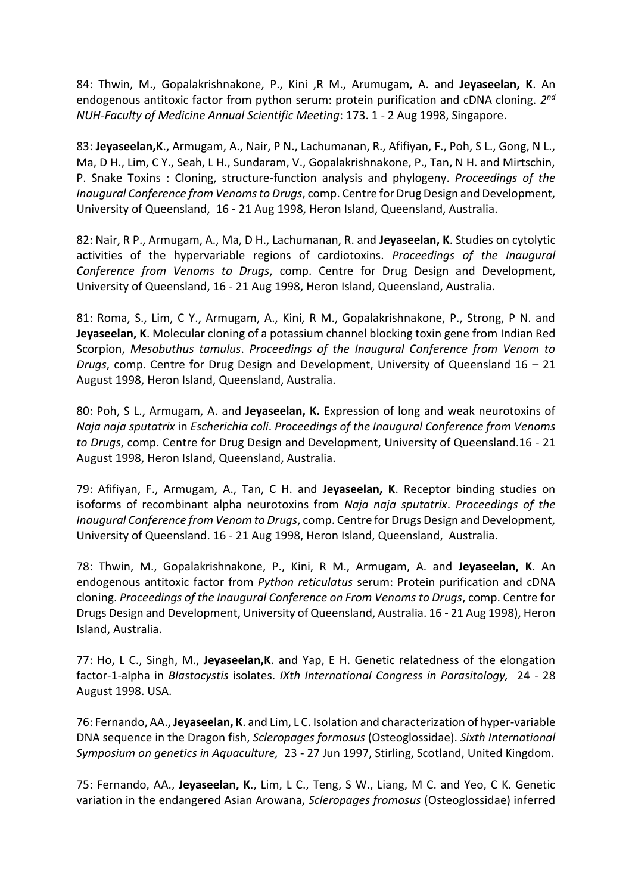84: Thwin, M., Gopalakrishnakone, P., Kini ,R M., Arumugam, A. and **Jeyaseelan, K**. An endogenous antitoxic factor from python serum: protein purification and cDNA cloning. *2 nd NUH-Faculty of Medicine Annual Scientific Meeting*: 173. 1 - 2 Aug 1998, Singapore.

83: **Jeyaseelan,K**., Armugam, A., Nair, P N., Lachumanan, R., Afifiyan, F., Poh, S L., Gong, N L., Ma, D H., Lim, C Y., Seah, L H., Sundaram, V., Gopalakrishnakone, P., Tan, N H. and Mirtschin, P. Snake Toxins : Cloning, structure-function analysis and phylogeny. *Proceedings of the Inaugural Conference from Venoms to Drugs*, comp. Centre for Drug Design and Development, University of Queensland, 16 - 21 Aug 1998, Heron Island, Queensland, Australia.

82: Nair, R P., Armugam, A., Ma, D H., Lachumanan, R. and **Jeyaseelan, K**. Studies on cytolytic activities of the hypervariable regions of cardiotoxins. *Proceedings of the Inaugural Conference from Venoms to Drugs*, comp. Centre for Drug Design and Development, University of Queensland, 16 - 21 Aug 1998, Heron Island, Queensland, Australia.

81: Roma, S., Lim, C Y., Armugam, A., Kini, R M., Gopalakrishnakone, P., Strong, P N. and **Jeyaseelan, K**. Molecular cloning of a potassium channel blocking toxin gene from Indian Red Scorpion, *Mesobuthus tamulus*. *Proceedings of the Inaugural Conference from Venom to Drugs*, comp. Centre for Drug Design and Development, University of Queensland 16 – 21 August 1998, Heron Island, Queensland, Australia.

80: Poh, S L., Armugam, A. and **Jeyaseelan, K.** Expression of long and weak neurotoxins of *Naja naja sputatrix* in *Escherichia coli*. *Proceedings of the Inaugural Conference from Venoms to Drugs*, comp. Centre for Drug Design and Development, University of Queensland.16 - 21 August 1998, Heron Island, Queensland, Australia.

79: Afifiyan, F., Armugam, A., Tan, C H. and **Jeyaseelan, K**. Receptor binding studies on isoforms of recombinant alpha neurotoxins from *Naja naja sputatrix*. *Proceedings of the Inaugural Conference from Venom to Drugs*, comp. Centre for Drugs Design and Development, University of Queensland. 16 - 21 Aug 1998, Heron Island, Queensland, Australia.

78: Thwin, M., Gopalakrishnakone, P., Kini, R M., Armugam, A. and **Jeyaseelan, K**. An endogenous antitoxic factor from *Python reticulatus* serum: Protein purification and cDNA cloning. *Proceedings of the Inaugural Conference on From Venoms to Drugs*, comp. Centre for Drugs Design and Development, University of Queensland, Australia. 16 - 21 Aug 1998), Heron Island, Australia.

77: Ho, L C., Singh, M., **Jeyaseelan,K**. and Yap, E H. Genetic relatedness of the elongation factor-1-alpha in *Blastocystis* isolates. *IXth International Congress in Parasitology,* 24 - 28 August 1998. USA.

76: Fernando, AA., **Jeyaseelan, K**. and Lim, L C. Isolation and characterization of hyper-variable DNA sequence in the Dragon fish, *Scleropages formosus* (Osteoglossidae). *Sixth International Symposium on genetics in Aquaculture,* 23 - 27 Jun 1997, Stirling, Scotland, United Kingdom.

75: Fernando, AA., **Jeyaseelan, K**., Lim, L C., Teng, S W., Liang, M C. and Yeo, C K. Genetic variation in the endangered Asian Arowana, *Scleropages fromosus* (Osteoglossidae) inferred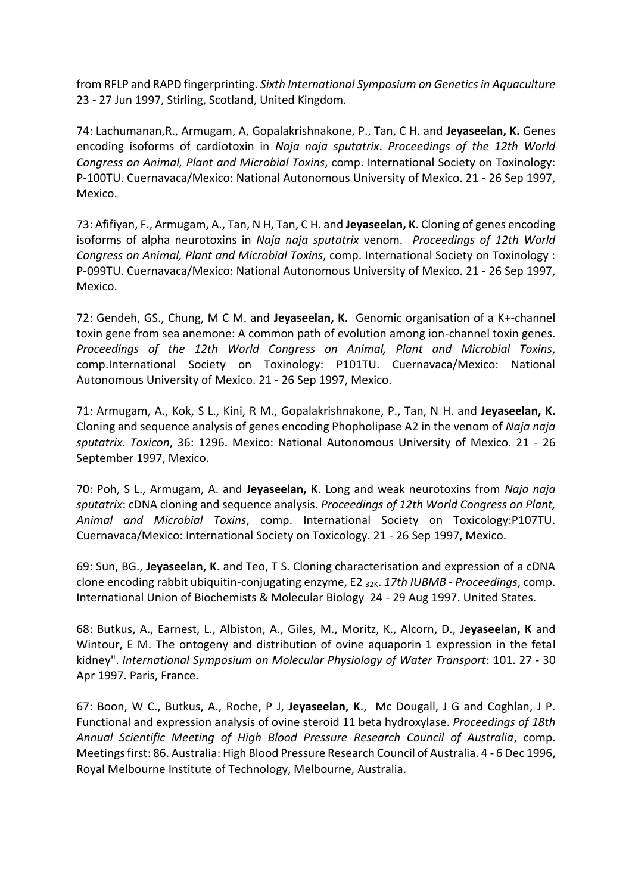from RFLP and RAPD fingerprinting. *Sixth International Symposium on Genetics in Aquaculture* 23 - 27 Jun 1997, Stirling, Scotland, United Kingdom.

74: Lachumanan,R., Armugam, A, Gopalakrishnakone, P., Tan, C H. and **Jeyaseelan, K.** Genes encoding isoforms of cardiotoxin in *Naja naja sputatrix*. *Proceedings of the 12th World Congress on Animal, Plant and Microbial Toxins*, comp. International Society on Toxinology: P-100TU. Cuernavaca/Mexico: National Autonomous University of Mexico. 21 - 26 Sep 1997, Mexico.

73: Afifiyan, F., Armugam, A., Tan, N H, Tan, C H. and **Jeyaseelan, K**. Cloning of genes encoding isoforms of alpha neurotoxins in *Naja naja sputatrix* venom. *Proceedings of 12th World Congress on Animal, Plant and Microbial Toxins*, comp. International Society on Toxinology : P-099TU. Cuernavaca/Mexico: National Autonomous University of Mexico. 21 - 26 Sep 1997, Mexico.

72: Gendeh, GS., Chung, M C M. and **Jeyaseelan, K.** Genomic organisation of a K+-channel toxin gene from sea anemone: A common path of evolution among ion-channel toxin genes. *Proceedings of the 12th World Congress on Animal, Plant and Microbial Toxins*, comp.International Society on Toxinology: P101TU. Cuernavaca/Mexico: National Autonomous University of Mexico. 21 - 26 Sep 1997, Mexico.

71: Armugam, A., Kok, S L., Kini, R M., Gopalakrishnakone, P., Tan, N H. and **Jeyaseelan, K.** Cloning and sequence analysis of genes encoding Phopholipase A2 in the venom of *Naja naja sputatrix*. *Toxicon*, 36: 1296. Mexico: National Autonomous University of Mexico. 21 - 26 September 1997, Mexico.

70: Poh, S L., Armugam, A. and **Jeyaseelan, K**. Long and weak neurotoxins from *Naja naja sputatrix*: cDNA cloning and sequence analysis. *Proceedings of 12th World Congress on Plant, Animal and Microbial Toxins*, comp. International Society on Toxicology:P107TU. Cuernavaca/Mexico: International Society on Toxicology. 21 - 26 Sep 1997, Mexico.

69: Sun, BG., **Jeyaseelan, K**. and Teo, T S. Cloning characterisation and expression of a cDNA clone encoding rabbit ubiquitin-conjugating enzyme, E2 32K. *17th IUBMB - Proceedings*, comp. International Union of Biochemists & Molecular Biology 24 - 29 Aug 1997. United States.

68: Butkus, A., Earnest, L., Albiston, A., Giles, M., Moritz, K., Alcorn, D., **Jeyaseelan, K** and Wintour, E M. The ontogeny and distribution of ovine aquaporin 1 expression in the fetal kidney". *International Symposium on Molecular Physiology of Water Transport*: 101. 27 - 30 Apr 1997. Paris, France.

67: Boon, W C., Butkus, A., Roche, P J, **Jeyaseelan, K**., Mc Dougall, J G and Coghlan, J P. Functional and expression analysis of ovine steroid 11 beta hydroxylase. *Proceedings of 18th Annual Scientific Meeting of High Blood Pressure Research Council of Australia*, comp. Meetings first: 86. Australia: High Blood Pressure Research Council of Australia. 4 - 6 Dec 1996, Royal Melbourne Institute of Technology, Melbourne, Australia.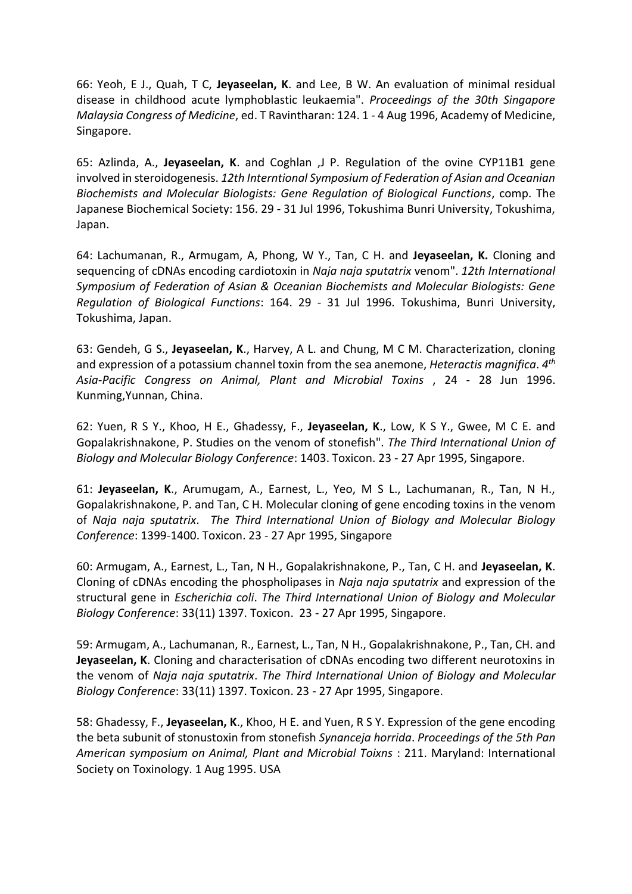66: Yeoh, E J., Quah, T C, **Jeyaseelan, K**. and Lee, B W. An evaluation of minimal residual disease in childhood acute lymphoblastic leukaemia". *Proceedings of the 30th Singapore Malaysia Congress of Medicine*, ed. T Ravintharan: 124. 1 - 4 Aug 1996, Academy of Medicine, Singapore.

65: Azlinda, A., **Jeyaseelan, K**. and Coghlan ,J P. Regulation of the ovine CYP11B1 gene involved in steroidogenesis. *12th Interntional Symposium of Federation of Asian and Oceanian Biochemists and Molecular Biologists: Gene Regulation of Biological Functions*, comp. The Japanese Biochemical Society: 156. 29 - 31 Jul 1996, Tokushima Bunri University, Tokushima, Japan.

64: Lachumanan, R., Armugam, A, Phong, W Y., Tan, C H. and **Jeyaseelan, K.** Cloning and sequencing of cDNAs encoding cardiotoxin in *Naja naja sputatrix* venom". *12th International Symposium of Federation of Asian & Oceanian Biochemists and Molecular Biologists: Gene Regulation of Biological Functions*: 164. 29 - 31 Jul 1996. Tokushima, Bunri University, Tokushima, Japan.

63: Gendeh, G S., **Jeyaseelan, K**., Harvey, A L. and Chung, M C M. Characterization, cloning and expression of a potassium channel toxin from the sea anemone, *Heteractis magnifica*. *4 th Asia-Pacific Congress on Animal, Plant and Microbial Toxins* , 24 - 28 Jun 1996. Kunming,Yunnan, China.

62: Yuen, R S Y., Khoo, H E., Ghadessy, F., **Jeyaseelan, K**., Low, K S Y., Gwee, M C E. and Gopalakrishnakone, P. Studies on the venom of stonefish". *The Third International Union of Biology and Molecular Biology Conference*: 1403. Toxicon. 23 - 27 Apr 1995, Singapore.

61: **Jeyaseelan, K**., Arumugam, A., Earnest, L., Yeo, M S L., Lachumanan, R., Tan, N H., Gopalakrishnakone, P. and Tan, C H. Molecular cloning of gene encoding toxins in the venom of *Naja naja sputatrix*. *The Third International Union of Biology and Molecular Biology Conference*: 1399-1400. Toxicon. 23 - 27 Apr 1995, Singapore

60: Armugam, A., Earnest, L., Tan, N H., Gopalakrishnakone, P., Tan, C H. and **Jeyaseelan, K**. Cloning of cDNAs encoding the phospholipases in *Naja naja sputatrix* and expression of the structural gene in *Escherichia coli*. *The Third International Union of Biology and Molecular Biology Conference*: 33(11) 1397. Toxicon. 23 - 27 Apr 1995, Singapore.

59: Armugam, A., Lachumanan, R., Earnest, L., Tan, N H., Gopalakrishnakone, P., Tan, CH. and **Jeyaseelan, K**. Cloning and characterisation of cDNAs encoding two different neurotoxins in the venom of *Naja naja sputatrix*. *The Third International Union of Biology and Molecular Biology Conference*: 33(11) 1397. Toxicon. 23 - 27 Apr 1995, Singapore.

58: Ghadessy, F., **Jeyaseelan, K**., Khoo, H E. and Yuen, R S Y. Expression of the gene encoding the beta subunit of stonustoxin from stonefish *Synanceja horrida*. *Proceedings of the 5th Pan American symposium on Animal, Plant and Microbial Toixns* : 211. Maryland: International Society on Toxinology. 1 Aug 1995. USA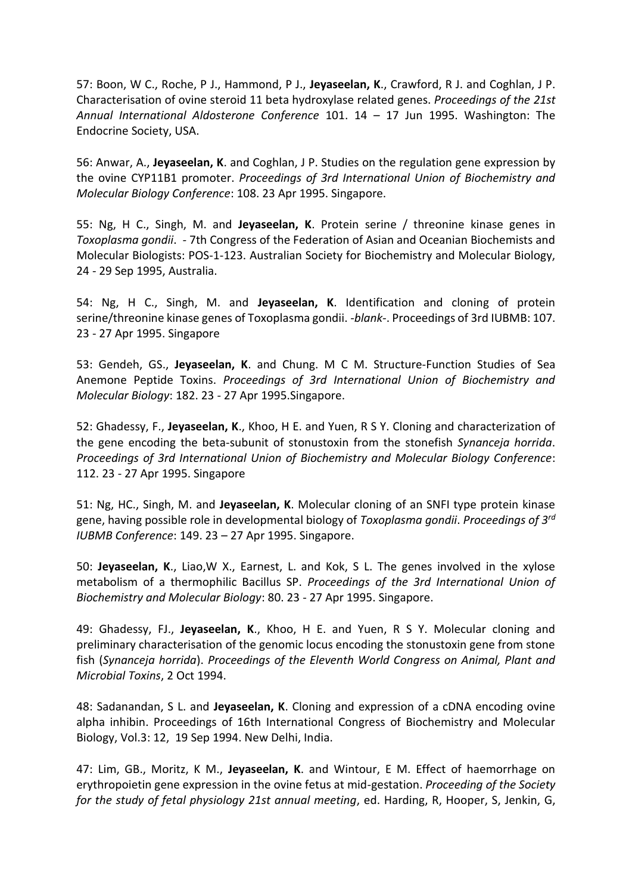57: Boon, W C., Roche, P J., Hammond, P J., **Jeyaseelan, K**., Crawford, R J. and Coghlan, J P. Characterisation of ovine steroid 11 beta hydroxylase related genes. *Proceedings of the 21st Annual International Aldosterone Conference* 101. 14 – 17 Jun 1995. Washington: The Endocrine Society, USA.

56: Anwar, A., **Jeyaseelan, K**. and Coghlan, J P. Studies on the regulation gene expression by the ovine CYP11B1 promoter. *Proceedings of 3rd International Union of Biochemistry and Molecular Biology Conference*: 108. 23 Apr 1995. Singapore.

55: Ng, H C., Singh, M. and **Jeyaseelan, K**. Protein serine / threonine kinase genes in *Toxoplasma gondii*. *-* 7th Congress of the Federation of Asian and Oceanian Biochemists and Molecular Biologists: POS-1-123. Australian Society for Biochemistry and Molecular Biology, 24 - 29 Sep 1995, Australia.

54: Ng, H C., Singh, M. and **Jeyaseelan, K**. Identification and cloning of protein serine/threonine kinase genes of Toxoplasma gondii. *-blank-*. Proceedings of 3rd IUBMB: 107. 23 - 27 Apr 1995. Singapore

53: Gendeh, GS., **Jeyaseelan, K**. and Chung. M C M. Structure-Function Studies of Sea Anemone Peptide Toxins. *Proceedings of 3rd International Union of Biochemistry and Molecular Biology*: 182. 23 - 27 Apr 1995.Singapore.

52: Ghadessy, F., **Jeyaseelan, K**., Khoo, H E. and Yuen, R S Y. Cloning and characterization of the gene encoding the beta-subunit of stonustoxin from the stonefish *Synanceja horrida*. *Proceedings of 3rd International Union of Biochemistry and Molecular Biology Conference*: 112. 23 - 27 Apr 1995. Singapore

51: Ng, HC., Singh, M. and **Jeyaseelan, K**. Molecular cloning of an SNFI type protein kinase gene, having possible role in developmental biology of *Toxoplasma gondii*. *Proceedings of 3rd IUBMB Conference*: 149. 23 – 27 Apr 1995. Singapore.

50: **Jeyaseelan, K**., Liao,W X., Earnest, L. and Kok, S L. The genes involved in the xylose metabolism of a thermophilic Bacillus SP. *Proceedings of the 3rd International Union of Biochemistry and Molecular Biology*: 80. 23 - 27 Apr 1995. Singapore.

49: Ghadessy, FJ., **Jeyaseelan, K**., Khoo, H E. and Yuen, R S Y. Molecular cloning and preliminary characterisation of the genomic locus encoding the stonustoxin gene from stone fish (*Synanceja horrida*). *Proceedings of the Eleventh World Congress on Animal, Plant and Microbial Toxins*, 2 Oct 1994.

48: Sadanandan, S L. and **Jeyaseelan, K**. Cloning and expression of a cDNA encoding ovine alpha inhibin. Proceedings of 16th International Congress of Biochemistry and Molecular Biology, Vol.3: 12, 19 Sep 1994. New Delhi, India.

47: Lim, GB., Moritz, K M., **Jeyaseelan, K**. and Wintour, E M. Effect of haemorrhage on erythropoietin gene expression in the ovine fetus at mid-gestation. *Proceeding of the Society for the study of fetal physiology 21st annual meeting*, ed. Harding, R, Hooper, S, Jenkin, G,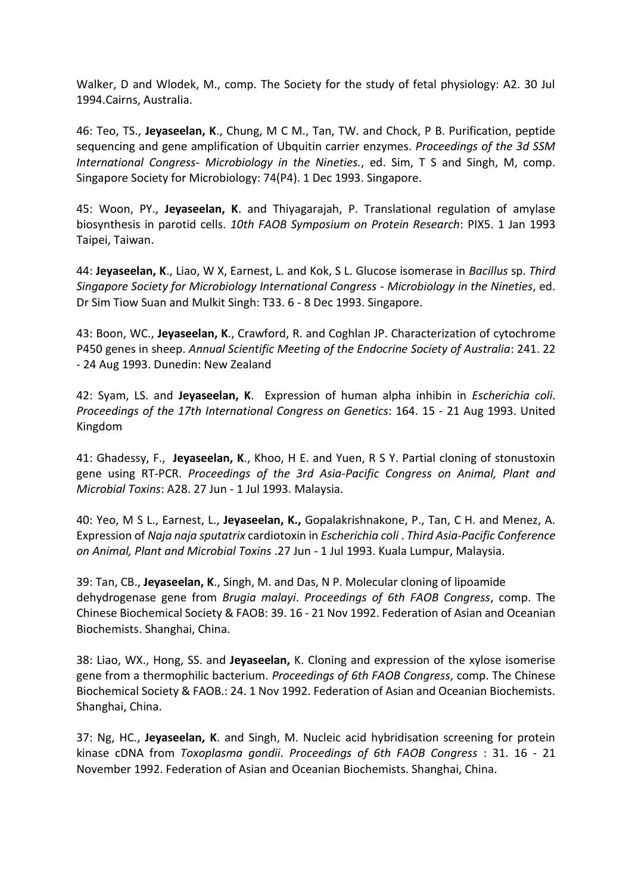Walker, D and Wlodek, M., comp. The Society for the study of fetal physiology: A2. 30 Jul 1994.Cairns, Australia.

46: Teo, TS., **Jeyaseelan, K**., Chung, M C M., Tan, TW. and Chock, P B. Purification, peptide sequencing and gene amplification of Ubquitin carrier enzymes. *Proceedings of the 3d SSM International Congress- Microbiology in the Nineties.*, ed. Sim, T S and Singh, M, comp. Singapore Society for Microbiology: 74(P4). 1 Dec 1993. Singapore.

45: Woon, PY., **Jeyaseelan, K**. and Thiyagarajah, P. Translational regulation of amylase biosynthesis in parotid cells. *10th FAOB Symposium on Protein Research*: PIX5. 1 Jan 1993 Taipei, Taiwan.

44: **Jeyaseelan, K**., Liao, W X, Earnest, L. and Kok, S L. Glucose isomerase in *Bacillus* sp. *Third Singapore Society for Microbiology International Congress - Microbiology in the Nineties*, ed. Dr Sim Tiow Suan and Mulkit Singh: T33. 6 - 8 Dec 1993. Singapore.

43: Boon, WC., **Jeyaseelan, K**., Crawford, R. and Coghlan JP. Characterization of cytochrome P450 genes in sheep. *Annual Scientific Meeting of the Endocrine Society of Australia*: 241. 22 - 24 Aug 1993. Dunedin: New Zealand

42: Syam, LS. and **Jeyaseelan, K**. Expression of human alpha inhibin in *Escherichia coli*. *Proceedings of the 17th International Congress on Genetics*: 164. 15 - 21 Aug 1993. United Kingdom

41: Ghadessy, F., **Jeyaseelan, K**., Khoo, H E. and Yuen, R S Y. Partial cloning of stonustoxin gene using RT-PCR. *Proceedings of the 3rd Asia-Pacific Congress on Animal, Plant and Microbial Toxins*: A28. 27 Jun - 1 Jul 1993. Malaysia.

40: Yeo, M S L., Earnest, L., **Jeyaseelan, K.,** Gopalakrishnakone, P., Tan, C H. and Menez, A. Expression of *Naja naja sputatrix* cardiotoxin in *Escherichia coli* . *Third Asia-Pacific Conference on Animal, Plant and Microbial Toxins* .27 Jun - 1 Jul 1993. Kuala Lumpur, Malaysia.

39: Tan, CB., **Jeyaseelan, K**., Singh, M. and Das, N P. Molecular cloning of lipoamide dehydrogenase gene from *Brugia malayi*. *Proceedings of 6th FAOB Congress*, comp. The Chinese Biochemical Society & FAOB: 39. 16 - 21 Nov 1992. Federation of Asian and Oceanian Biochemists. Shanghai, China.

38: Liao, WX., Hong, SS. and **Jeyaseelan,** K. Cloning and expression of the xylose isomerise gene from a thermophilic bacterium. *Proceedings of 6th FAOB Congress*, comp. The Chinese Biochemical Society & FAOB.: 24. 1 Nov 1992. Federation of Asian and Oceanian Biochemists. Shanghai, China.

37: Ng, HC., **Jeyaseelan, K**. and Singh, M. Nucleic acid hybridisation screening for protein kinase cDNA from *Toxoplasma gondii*. *Proceedings of 6th FAOB Congress* : 31. 16 - 21 November 1992. Federation of Asian and Oceanian Biochemists. Shanghai, China.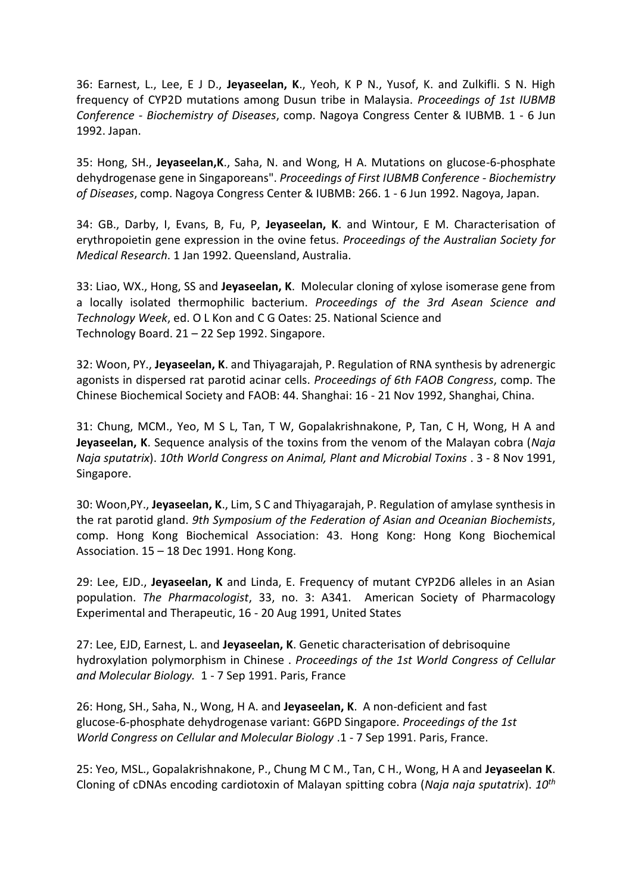36: Earnest, L., Lee, E J D., **Jeyaseelan, K**., Yeoh, K P N., Yusof, K. and Zulkifli. S N. High frequency of CYP2D mutations among Dusun tribe in Malaysia. *Proceedings of 1st IUBMB Conference - Biochemistry of Diseases*, comp. Nagoya Congress Center & IUBMB. 1 - 6 Jun 1992. Japan.

35: Hong, SH., **Jeyaseelan,K**., Saha, N. and Wong, H A. Mutations on glucose-6-phosphate dehydrogenase gene in Singaporeans". *Proceedings of First IUBMB Conference - Biochemistry of Diseases*, comp. Nagoya Congress Center & IUBMB: 266. 1 - 6 Jun 1992. Nagoya, Japan.

34: GB., Darby, I, Evans, B, Fu, P, **Jeyaseelan, K**. and Wintour, E M. Characterisation of erythropoietin gene expression in the ovine fetus. *Proceedings of the Australian Society for Medical Research*. 1 Jan 1992. Queensland, Australia.

33: Liao, WX., Hong, SS and **Jeyaseelan, K**. Molecular cloning of xylose isomerase gene from a locally isolated thermophilic bacterium. *Proceedings of the 3rd Asean Science and Technology Week*, ed. O L Kon and C G Oates: 25. National Science and Technology Board. 21 – 22 Sep 1992. Singapore.

32: Woon, PY., **Jeyaseelan, K**. and Thiyagarajah, P. Regulation of RNA synthesis by adrenergic agonists in dispersed rat parotid acinar cells. *Proceedings of 6th FAOB Congress*, comp. The Chinese Biochemical Society and FAOB: 44. Shanghai: 16 - 21 Nov 1992, Shanghai, China.

31: Chung, MCM., Yeo, M S L, Tan, T W, Gopalakrishnakone, P, Tan, C H, Wong, H A and **Jeyaseelan, K**. Sequence analysis of the toxins from the venom of the Malayan cobra (*Naja Naja sputatrix*). *10th World Congress on Animal, Plant and Microbial Toxins* . 3 - 8 Nov 1991, Singapore.

30: Woon,PY., **Jeyaseelan, K**., Lim, S C and Thiyagarajah, P. Regulation of amylase synthesis in the rat parotid gland. *9th Symposium of the Federation of Asian and Oceanian Biochemists*, comp. Hong Kong Biochemical Association: 43. Hong Kong: Hong Kong Biochemical Association. 15 – 18 Dec 1991. Hong Kong.

29: Lee, EJD., **Jeyaseelan, K** and Linda, E. Frequency of mutant CYP2D6 alleles in an Asian population. *The Pharmacologist*, 33, no. 3: A341. American Society of Pharmacology Experimental and Therapeutic, 16 - 20 Aug 1991, United States

27: Lee, EJD, Earnest, L. and **Jeyaseelan, K**. Genetic characterisation of debrisoquine hydroxylation polymorphism in Chinese . *Proceedings of the 1st World Congress of Cellular and Molecular Biology.* 1 - 7 Sep 1991. Paris, France

26: Hong, SH., Saha, N., Wong, H A. and **Jeyaseelan, K**. A non-deficient and fast glucose-6-phosphate dehydrogenase variant: G6PD Singapore. *Proceedings of the 1st World Congress on Cellular and Molecular Biology* .1 - 7 Sep 1991. Paris, France.

25: Yeo, MSL., Gopalakrishnakone, P., Chung M C M., Tan, C H., Wong, H A and **Jeyaseelan K**. Cloning of cDNAs encoding cardiotoxin of Malayan spitting cobra (*Naja naja sputatrix*). *10th*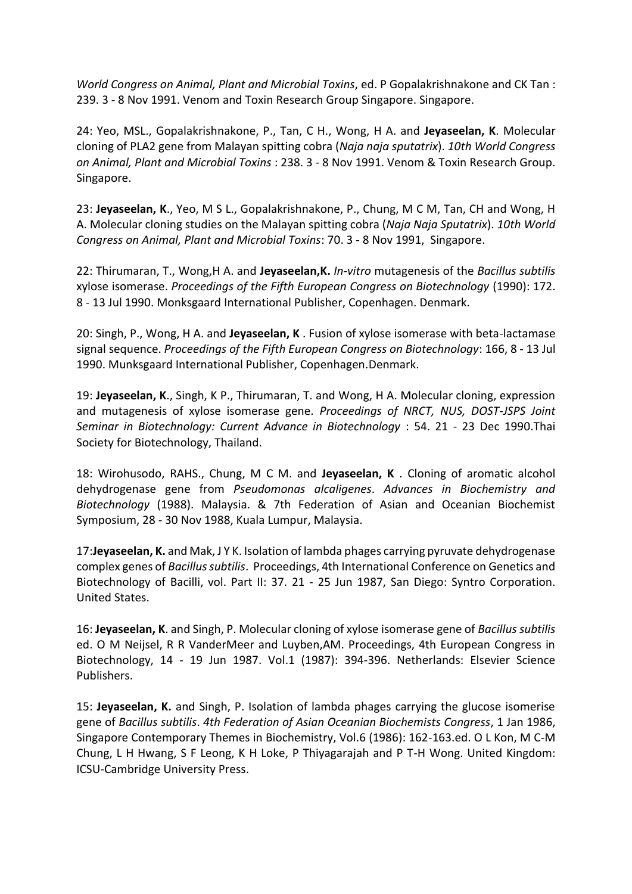*World Congress on Animal, Plant and Microbial Toxins*, ed. P Gopalakrishnakone and CK Tan : 239. 3 - 8 Nov 1991. Venom and Toxin Research Group Singapore. Singapore.

24: Yeo, MSL., Gopalakrishnakone, P., Tan, C H., Wong, H A. and **Jeyaseelan, K**. Molecular cloning of PLA2 gene from Malayan spitting cobra (*Naja naja sputatrix*). *10th World Congress on Animal, Plant and Microbial Toxins* : 238. 3 - 8 Nov 1991. Venom & Toxin Research Group. Singapore.

23: **Jeyaseelan, K**., Yeo, M S L., Gopalakrishnakone, P., Chung, M C M, Tan, CH and Wong, H A. Molecular cloning studies on the Malayan spitting cobra (*Naja Naja Sputatrix*). *10th World Congress on Animal, Plant and Microbial Toxins*: 70. 3 - 8 Nov 1991, Singapore.

22: Thirumaran, T., Wong,H A. and **Jeyaseelan,K.** *In-vitro* mutagenesis of the *Bacillus subtilis* xylose isomerase. *Proceedings of the Fifth European Congress on Biotechnology* (1990): 172. 8 - 13 Jul 1990. Monksgaard International Publisher, Copenhagen. Denmark.

20: Singh, P., Wong, H A. and **Jeyaseelan, K** . Fusion of xylose isomerase with beta-lactamase signal sequence. *Proceedings of the Fifth European Congress on Biotechnology*: 166, 8 - 13 Jul 1990. Munksgaard International Publisher, Copenhagen.Denmark.

19: **Jeyaseelan, K**., Singh, K P., Thirumaran, T. and Wong, H A. Molecular cloning, expression and mutagenesis of xylose isomerase gene. *Proceedings of NRCT, NUS, DOST-JSPS Joint Seminar in Biotechnology: Current Advance in Biotechnology* : 54. 21 - 23 Dec 1990.Thai Society for Biotechnology, Thailand.

18: Wirohusodo, RAHS., Chung, M C M. and **Jeyaseelan, K** . Cloning of aromatic alcohol dehydrogenase gene from *Pseudomonas alcaligenes*. *Advances in Biochemistry and Biotechnology* (1988). Malaysia. & 7th Federation of Asian and Oceanian Biochemist Symposium, 28 - 30 Nov 1988, Kuala Lumpur, Malaysia.

17:**Jeyaseelan, K.** and Mak, J Y K. Isolation of lambda phages carrying pyruvate dehydrogenase complex genes of *Bacillus subtilis*. Proceedings, 4th International Conference on Genetics and Biotechnology of Bacilli, vol. Part II: 37. 21 - 25 Jun 1987, San Diego: Syntro Corporation. United States.

16: **Jeyaseelan, K**. and Singh, P. Molecular cloning of xylose isomerase gene of *Bacillus subtilis* ed. O M Neijsel, R R VanderMeer and Luyben,AM. Proceedings, 4th European Congress in Biotechnology, 14 - 19 Jun 1987. Vol.1 (1987): 394-396. Netherlands: Elsevier Science Publishers.

15: **Jeyaseelan, K.** and Singh, P. Isolation of lambda phages carrying the glucose isomerise gene of *Bacillus subtilis*. *4th Federation of Asian Oceanian Biochemists Congress*, 1 Jan 1986, Singapore Contemporary Themes in Biochemistry, Vol.6 (1986): 162-163.ed. O L Kon, M C-M Chung, L H Hwang, S F Leong, K H Loke, P Thiyagarajah and P T-H Wong. United Kingdom: ICSU-Cambridge University Press.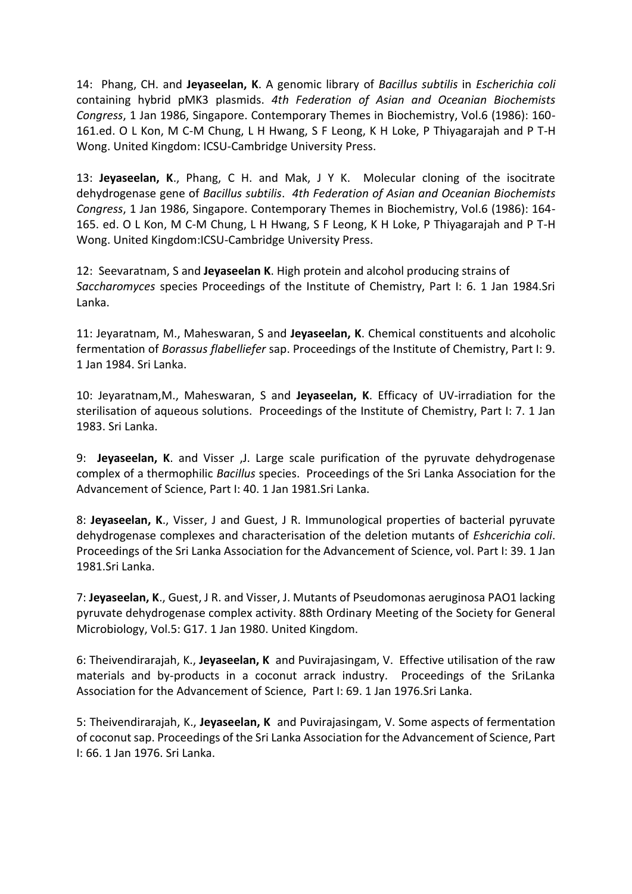14: Phang, CH. and **Jeyaseelan, K**. A genomic library of *Bacillus subtilis* in *Escherichia coli* containing hybrid pMK3 plasmids. *4th Federation of Asian and Oceanian Biochemists Congress*, 1 Jan 1986, Singapore. Contemporary Themes in Biochemistry, Vol.6 (1986): 160- 161.ed. O L Kon, M C-M Chung, L H Hwang, S F Leong, K H Loke, P Thiyagarajah and P T-H Wong. United Kingdom: ICSU-Cambridge University Press.

13: **Jeyaseelan, K**., Phang, C H. and Mak, J Y K. Molecular cloning of the isocitrate dehydrogenase gene of *Bacillus subtilis*. *4th Federation of Asian and Oceanian Biochemists Congress*, 1 Jan 1986, Singapore. Contemporary Themes in Biochemistry, Vol.6 (1986): 164- 165. ed. O L Kon, M C-M Chung, L H Hwang, S F Leong, K H Loke, P Thiyagarajah and P T-H Wong. United Kingdom:ICSU-Cambridge University Press.

12: Seevaratnam, S and **Jeyaseelan K**. High protein and alcohol producing strains of *Saccharomyces* species Proceedings of the Institute of Chemistry, Part I: 6. 1 Jan 1984.Sri Lanka.

11: Jeyaratnam, M., Maheswaran, S and **Jeyaseelan, K**. Chemical constituents and alcoholic fermentation of *Borassus flabelliefer* sap. Proceedings of the Institute of Chemistry, Part I: 9. 1 Jan 1984. Sri Lanka.

10: Jeyaratnam,M., Maheswaran, S and **Jeyaseelan, K**. Efficacy of UV-irradiation for the sterilisation of aqueous solutions. Proceedings of the Institute of Chemistry, Part I: 7. 1 Jan 1983. Sri Lanka.

9: **Jeyaseelan, K**. and Visser ,J. Large scale purification of the pyruvate dehydrogenase complex of a thermophilic *Bacillus* species. Proceedings of the Sri Lanka Association for the Advancement of Science, Part I: 40. 1 Jan 1981.Sri Lanka.

8: **Jeyaseelan, K**., Visser, J and Guest, J R. Immunological properties of bacterial pyruvate dehydrogenase complexes and characterisation of the deletion mutants of *Eshcerichia coli*. Proceedings of the Sri Lanka Association for the Advancement of Science, vol. Part I: 39. 1 Jan 1981.Sri Lanka.

7: **Jeyaseelan, K**., Guest, J R. and Visser, J. Mutants of Pseudomonas aeruginosa PAO1 lacking pyruvate dehydrogenase complex activity. 88th Ordinary Meeting of the Society for General Microbiology, Vol.5: G17. 1 Jan 1980. United Kingdom.

6: Theivendirarajah, K., **Jeyaseelan, K** and Puvirajasingam, V. Effective utilisation of the raw materials and by-products in a coconut arrack industry. Proceedings of the SriLanka Association for the Advancement of Science, Part I: 69. 1 Jan 1976.Sri Lanka.

5: Theivendirarajah, K., **Jeyaseelan, K** and Puvirajasingam, V. Some aspects of fermentation of coconut sap. Proceedings of the Sri Lanka Association for the Advancement of Science, Part I: 66. 1 Jan 1976. Sri Lanka.